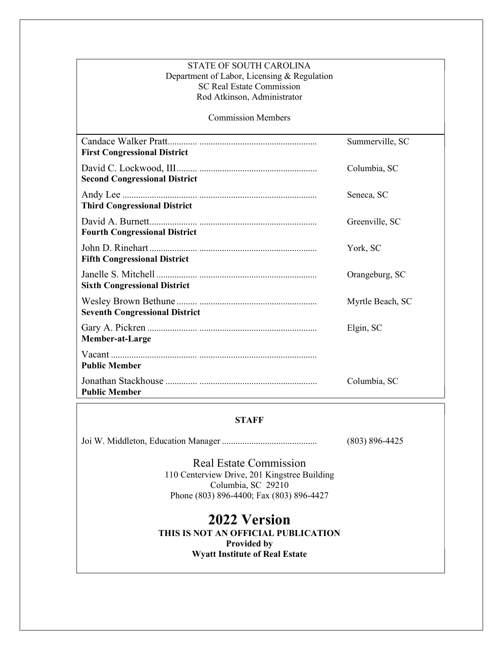| <b>STATE OF SOUTH CAROLINA</b><br>Department of Labor, Licensing & Regulation<br><b>SC Real Estate Commission</b><br>Rod Atkinson, Administrator |                  |
|--------------------------------------------------------------------------------------------------------------------------------------------------|------------------|
| <b>Commission Members</b>                                                                                                                        |                  |
| <b>First Congressional District</b>                                                                                                              | Summerville, SC  |
| <b>Second Congressional District</b>                                                                                                             | Columbia, SC     |
| <b>Third Congressional District</b>                                                                                                              | Seneca, SC       |
| <b>Fourth Congressional District</b>                                                                                                             | Greenville, SC   |
| <b>Fifth Congressional District</b>                                                                                                              | York, SC         |
| <b>Sixth Congressional District</b>                                                                                                              | Orangeburg, SC   |
| <b>Seventh Congressional District</b>                                                                                                            | Myrtle Beach, SC |
| Member-at-Large                                                                                                                                  | Elgin, SC        |
| <b>Public Member</b>                                                                                                                             |                  |
| <b>Public Member</b>                                                                                                                             | Columbia, SC     |

## **STAFF**

Joi W. Middleton, Education Manager .......................................... (803) 896-4425

Real Estate Commission 110 Centerview Drive, 201 Kingstree Building Columbia, SC 29210 Phone (803) 896-4400; Fax (803) 896-4427

2022 Version THIS IS NOT AN OFFICIAL PUBLICATION Provided by Wyatt Institute of Real Estate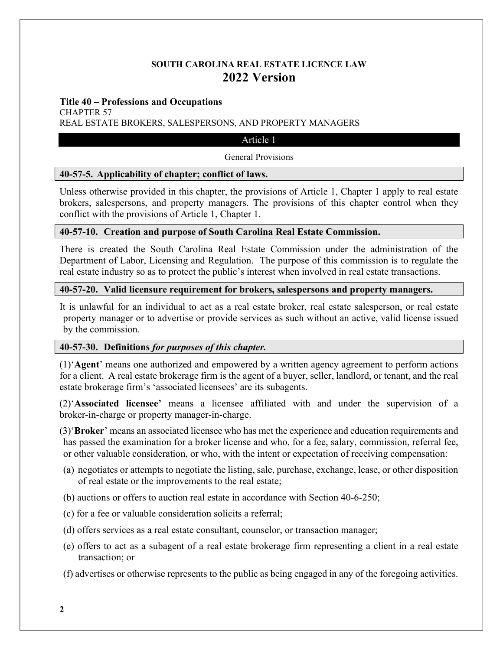# SOUTH CAROLINA REAL ESTATE LICENCE LAW 2022 Version

### Title 40 – Professions and Occupations

CHAPTER 57

REAL ESTATE BROKERS, SALESPERSONS, AND PROPERTY MANAGERS

### Article 1

### General Provisions

## 40-57-5. Applicability of chapter; conflict of laws.

Unless otherwise provided in this chapter, the provisions of Article 1, Chapter 1 apply to real estate brokers, salespersons, and property managers. The provisions of this chapter control when they conflict with the provisions of Article 1, Chapter 1.

## 40-57-10. Creation and purpose of South Carolina Real Estate Commission.

There is created the South Carolina Real Estate Commission under the administration of the Department of Labor, Licensing and Regulation. The purpose of this commission is to regulate the real estate industry so as to protect the public's interest when involved in real estate transactions.

## 40-57-20. Valid licensure requirement for brokers, salespersons and property managers.

It is unlawful for an individual to act as a real estate broker, real estate salesperson, or real estate property manager or to advertise or provide services as such without an active, valid license issued by the commission.

## 40-57-30. Definitions for purposes of this chapter.

(1)'Agent' means one authorized and empowered by a written agency agreement to perform actions for a client. A real estate brokerage firm is the agent of a buyer, seller, landlord, or tenant, and the real estate brokerage firm's 'associated licensees' are its subagents.

(2)'Associated licensee' means a licensee affiliated with and under the supervision of a broker-in-charge or property manager-in-charge.

(3)'Broker' means an associated licensee who has met the experience and education requirements and has passed the examination for a broker license and who, for a fee, salary, commission, referral fee, or other valuable consideration, or who, with the intent or expectation of receiving compensation:

- (a) negotiates or attempts to negotiate the listing, sale, purchase, exchange, lease, or other disposition of real estate or the improvements to the real estate;
- (b) auctions or offers to auction real estate in accordance with Section 40-6-250;
- (c) for a fee or valuable consideration solicits a referral;
- (d) offers services as a real estate consultant, counselor, or transaction manager;
- (e) offers to act as a subagent of a real estate brokerage firm representing a client in a real estate transaction; or

(f) advertises or otherwise represents to the public as being engaged in any of the foregoing activities.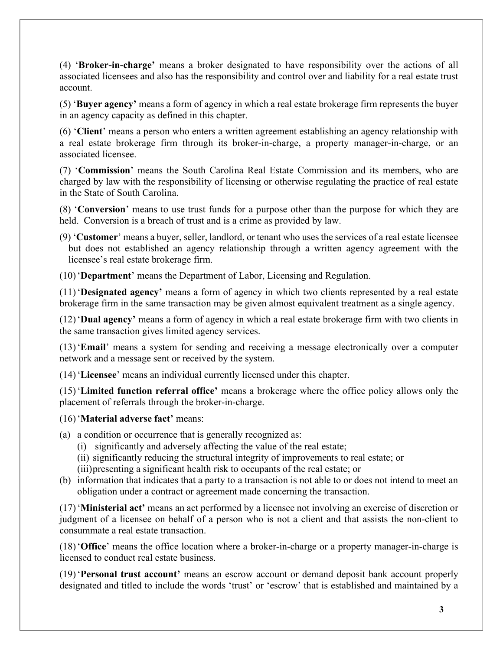(4) 'Broker-in-charge' means a broker designated to have responsibility over the actions of all associated licensees and also has the responsibility and control over and liability for a real estate trust account.

(5) 'Buyer agency' means a form of agency in which a real estate brokerage firm represents the buyer in an agency capacity as defined in this chapter.

(6) 'Client' means a person who enters a written agreement establishing an agency relationship with a real estate brokerage firm through its broker-in-charge, a property manager-in-charge, or an associated licensee.

(7) 'Commission' means the South Carolina Real Estate Commission and its members, who are charged by law with the responsibility of licensing or otherwise regulating the practice of real estate in the State of South Carolina.

(8) 'Conversion' means to use trust funds for a purpose other than the purpose for which they are held. Conversion is a breach of trust and is a crime as provided by law.

(9) 'Customer' means a buyer, seller, landlord, or tenant who uses the services of a real estate licensee but does not established an agency relationship through a written agency agreement with the licensee's real estate brokerage firm.

(10) 'Department' means the Department of Labor, Licensing and Regulation.

(11) 'Designated agency' means a form of agency in which two clients represented by a real estate brokerage firm in the same transaction may be given almost equivalent treatment as a single agency.

(12) 'Dual agency' means a form of agency in which a real estate brokerage firm with two clients in the same transaction gives limited agency services.

(13) 'Email' means a system for sending and receiving a message electronically over a computer network and a message sent or received by the system.

(14) 'Licensee' means an individual currently licensed under this chapter.

(15) 'Limited function referral office' means a brokerage where the office policy allows only the placement of referrals through the broker-in-charge.

(16) 'Material adverse fact' means:

- (a) a condition or occurrence that is generally recognized as:
	- (i) significantly and adversely affecting the value of the real estate;
	- (ii) significantly reducing the structural integrity of improvements to real estate; or
	- (iii) presenting a significant health risk to occupants of the real estate; or
- (b) information that indicates that a party to a transaction is not able to or does not intend to meet an obligation under a contract or agreement made concerning the transaction.

(17) 'Ministerial act' means an act performed by a licensee not involving an exercise of discretion or judgment of a licensee on behalf of a person who is not a client and that assists the non-client to consummate a real estate transaction.

(18) 'Office' means the office location where a broker-in-charge or a property manager-in-charge is licensed to conduct real estate business.

(19) 'Personal trust account' means an escrow account or demand deposit bank account properly designated and titled to include the words 'trust' or 'escrow' that is established and maintained by a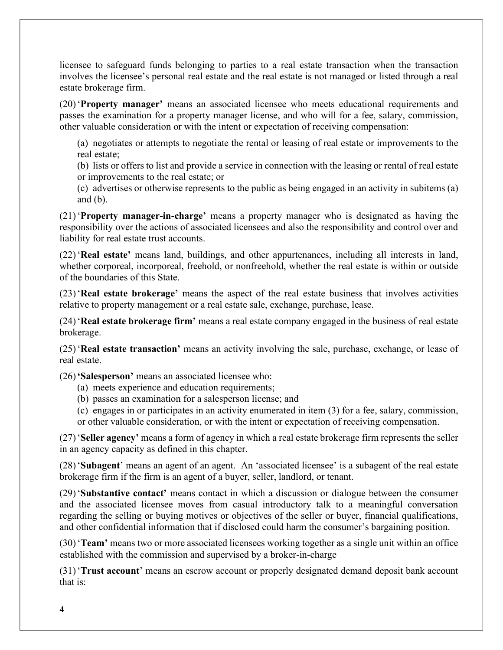licensee to safeguard funds belonging to parties to a real estate transaction when the transaction involves the licensee's personal real estate and the real estate is not managed or listed through a real estate brokerage firm.

(20) 'Property manager' means an associated licensee who meets educational requirements and passes the examination for a property manager license, and who will for a fee, salary, commission, other valuable consideration or with the intent or expectation of receiving compensation:

 (a) negotiates or attempts to negotiate the rental or leasing of real estate or improvements to the real estate;

 (b) lists or offers to list and provide a service in connection with the leasing or rental of real estate or improvements to the real estate; or

 (c) advertises or otherwise represents to the public as being engaged in an activity in subitems (a) and (b).

(21) 'Property manager-in-charge' means a property manager who is designated as having the responsibility over the actions of associated licensees and also the responsibility and control over and liability for real estate trust accounts.

(22) 'Real estate' means land, buildings, and other appurtenances, including all interests in land, whether corporeal, incorporeal, freehold, or nonfreehold, whether the real estate is within or outside of the boundaries of this State.

(23) 'Real estate brokerage' means the aspect of the real estate business that involves activities relative to property management or a real estate sale, exchange, purchase, lease.

(24) 'Real estate brokerage firm' means a real estate company engaged in the business of real estate brokerage.

(25) 'Real estate transaction' means an activity involving the sale, purchase, exchange, or lease of real estate.

(26) 'Salesperson' means an associated licensee who:

- (a) meets experience and education requirements;
- (b) passes an examination for a salesperson license; and
- (c) engages in or participates in an activity enumerated in item (3) for a fee, salary, commission,

or other valuable consideration, or with the intent or expectation of receiving compensation.

(27) 'Seller agency' means a form of agency in which a real estate brokerage firm represents the seller in an agency capacity as defined in this chapter.

(28) 'Subagent' means an agent of an agent. An 'associated licensee' is a subagent of the real estate brokerage firm if the firm is an agent of a buyer, seller, landlord, or tenant.

(29) 'Substantive contact' means contact in which a discussion or dialogue between the consumer and the associated licensee moves from casual introductory talk to a meaningful conversation regarding the selling or buying motives or objectives of the seller or buyer, financial qualifications, and other confidential information that if disclosed could harm the consumer's bargaining position.

(30) 'Team' means two or more associated licensees working together as a single unit within an office established with the commission and supervised by a broker-in-charge

(31) 'Trust account' means an escrow account or properly designated demand deposit bank account that is: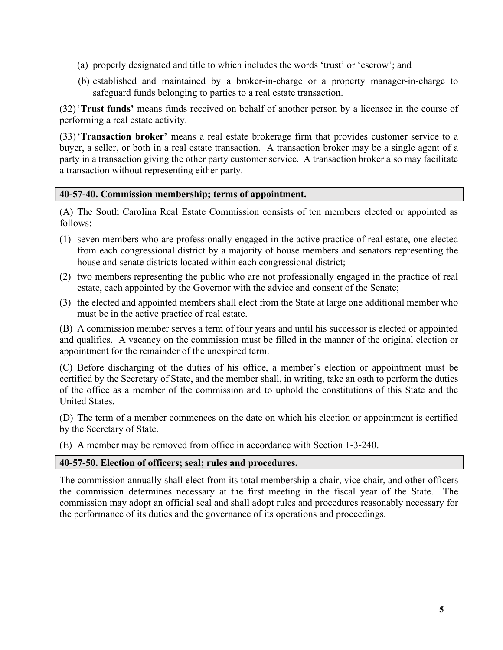- (a) properly designated and title to which includes the words 'trust' or 'escrow'; and
- (b) established and maintained by a broker-in-charge or a property manager-in-charge to safeguard funds belonging to parties to a real estate transaction.

(32) 'Trust funds' means funds received on behalf of another person by a licensee in the course of performing a real estate activity.

(33) 'Transaction broker' means a real estate brokerage firm that provides customer service to a buyer, a seller, or both in a real estate transaction. A transaction broker may be a single agent of a party in a transaction giving the other party customer service. A transaction broker also may facilitate a transaction without representing either party.

#### 40-57-40. Commission membership; terms of appointment.

(A) The South Carolina Real Estate Commission consists of ten members elected or appointed as follows:

- (1) seven members who are professionally engaged in the active practice of real estate, one elected from each congressional district by a majority of house members and senators representing the house and senate districts located within each congressional district;
- (2) two members representing the public who are not professionally engaged in the practice of real estate, each appointed by the Governor with the advice and consent of the Senate;
- (3) the elected and appointed members shall elect from the State at large one additional member who must be in the active practice of real estate.

(B) A commission member serves a term of four years and until his successor is elected or appointed and qualifies. A vacancy on the commission must be filled in the manner of the original election or appointment for the remainder of the unexpired term.

(C) Before discharging of the duties of his office, a member's election or appointment must be certified by the Secretary of State, and the member shall, in writing, take an oath to perform the duties of the office as a member of the commission and to uphold the constitutions of this State and the United States.

(D) The term of a member commences on the date on which his election or appointment is certified by the Secretary of State.

(E) A member may be removed from office in accordance with Section 1-3-240.

## 40-57-50. Election of officers; seal; rules and procedures.

The commission annually shall elect from its total membership a chair, vice chair, and other officers the commission determines necessary at the first meeting in the fiscal year of the State. The commission may adopt an official seal and shall adopt rules and procedures reasonably necessary for the performance of its duties and the governance of its operations and proceedings.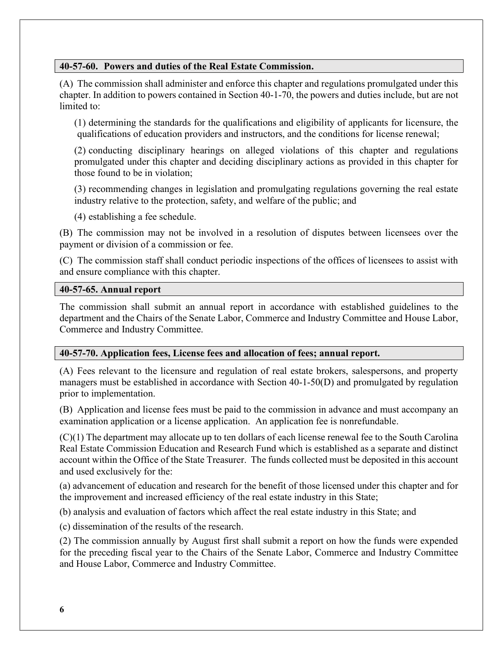## 40-57-60. Powers and duties of the Real Estate Commission.

(A) The commission shall administer and enforce this chapter and regulations promulgated under this chapter. In addition to powers contained in Section 40-1-70, the powers and duties include, but are not limited to:

(1) determining the standards for the qualifications and eligibility of applicants for licensure, the qualifications of education providers and instructors, and the conditions for license renewal;

(2) conducting disciplinary hearings on alleged violations of this chapter and regulations promulgated under this chapter and deciding disciplinary actions as provided in this chapter for those found to be in violation;

(3) recommending changes in legislation and promulgating regulations governing the real estate industry relative to the protection, safety, and welfare of the public; and

(4) establishing a fee schedule.

(B) The commission may not be involved in a resolution of disputes between licensees over the payment or division of a commission or fee.

(C) The commission staff shall conduct periodic inspections of the offices of licensees to assist with and ensure compliance with this chapter.

## 40-57-65. Annual report

The commission shall submit an annual report in accordance with established guidelines to the department and the Chairs of the Senate Labor, Commerce and Industry Committee and House Labor, Commerce and Industry Committee.

## 40-57-70. Application fees, License fees and allocation of fees; annual report.

(A) Fees relevant to the licensure and regulation of real estate brokers, salespersons, and property managers must be established in accordance with Section 40-1-50(D) and promulgated by regulation prior to implementation.

(B) Application and license fees must be paid to the commission in advance and must accompany an examination application or a license application. An application fee is nonrefundable.

(C)(1) The department may allocate up to ten dollars of each license renewal fee to the South Carolina Real Estate Commission Education and Research Fund which is established as a separate and distinct account within the Office of the State Treasurer. The funds collected must be deposited in this account and used exclusively for the:

(a) advancement of education and research for the benefit of those licensed under this chapter and for the improvement and increased efficiency of the real estate industry in this State;

(b) analysis and evaluation of factors which affect the real estate industry in this State; and

(c) dissemination of the results of the research.

(2) The commission annually by August first shall submit a report on how the funds were expended for the preceding fiscal year to the Chairs of the Senate Labor, Commerce and Industry Committee and House Labor, Commerce and Industry Committee.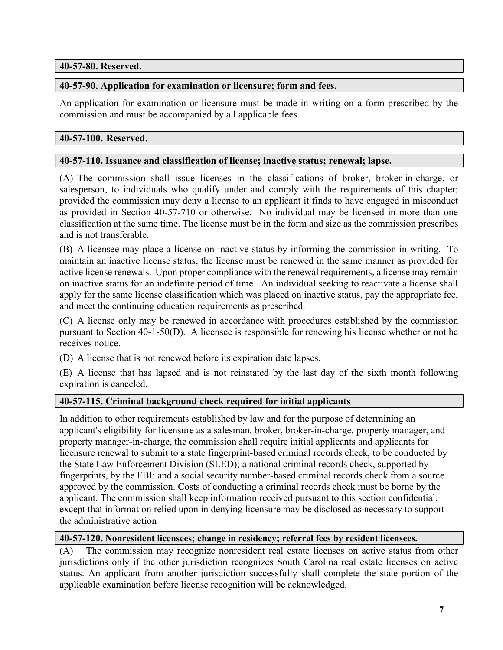## 40-57-80. Reserved.

## 40-57-90. Application for examination or licensure; form and fees.

An application for examination or licensure must be made in writing on a form prescribed by the commission and must be accompanied by all applicable fees.

## 40-57-100. Reserved.

## 40-57-110. Issuance and classification of license; inactive status; renewal; lapse.

(A) The commission shall issue licenses in the classifications of broker, broker-in-charge, or salesperson, to individuals who qualify under and comply with the requirements of this chapter; provided the commission may deny a license to an applicant it finds to have engaged in misconduct as provided in Section 40-57-710 or otherwise. No individual may be licensed in more than one classification at the same time. The license must be in the form and size as the commission prescribes and is not transferable.

(B) A licensee may place a license on inactive status by informing the commission in writing. To maintain an inactive license status, the license must be renewed in the same manner as provided for active license renewals. Upon proper compliance with the renewal requirements, a license may remain on inactive status for an indefinite period of time. An individual seeking to reactivate a license shall apply for the same license classification which was placed on inactive status, pay the appropriate fee, and meet the continuing education requirements as prescribed.

(C) A license only may be renewed in accordance with procedures established by the commission pursuant to Section 40-1-50(D). A licensee is responsible for renewing his license whether or not he receives notice.

(D) A license that is not renewed before its expiration date lapses.

(E) A license that has lapsed and is not reinstated by the last day of the sixth month following expiration is canceled.

## 40-57-115. Criminal background check required for initial applicants

In addition to other requirements established by law and for the purpose of determining an applicant's eligibility for licensure as a salesman, broker, broker-in-charge, property manager, and property manager-in-charge, the commission shall require initial applicants and applicants for licensure renewal to submit to a state fingerprint-based criminal records check, to be conducted by the State Law Enforcement Division (SLED); a national criminal records check, supported by fingerprints, by the FBI; and a social security number-based criminal records check from a source approved by the commission. Costs of conducting a criminal records check must be borne by the applicant. The commission shall keep information received pursuant to this section confidential, except that information relied upon in denying licensure may be disclosed as necessary to support the administrative action

## 40-57-120. Nonresident licensees; change in residency; referral fees by resident licensees.

(A) The commission may recognize nonresident real estate licenses on active status from other jurisdictions only if the other jurisdiction recognizes South Carolina real estate licenses on active status. An applicant from another jurisdiction successfully shall complete the state portion of the applicable examination before license recognition will be acknowledged.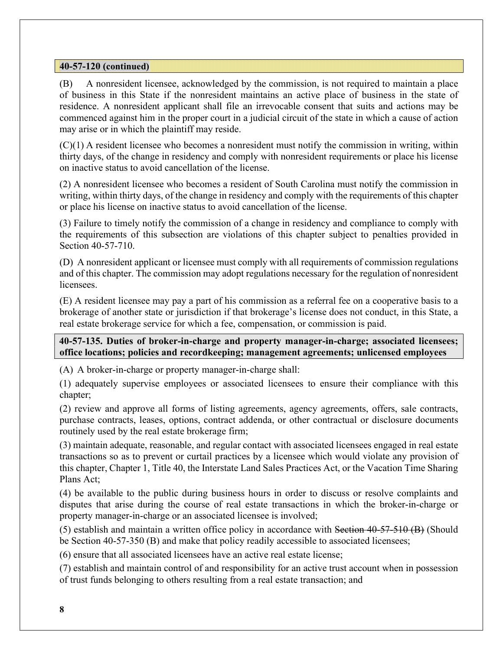## 40-57-120 (continued)

(B) A nonresident licensee, acknowledged by the commission, is not required to maintain a place of business in this State if the nonresident maintains an active place of business in the state of residence. A nonresident applicant shall file an irrevocable consent that suits and actions may be commenced against him in the proper court in a judicial circuit of the state in which a cause of action may arise or in which the plaintiff may reside.

 $(C)(1)$  A resident licensee who becomes a nonresident must notify the commission in writing, within thirty days, of the change in residency and comply with nonresident requirements or place his license on inactive status to avoid cancellation of the license.

(2) A nonresident licensee who becomes a resident of South Carolina must notify the commission in writing, within thirty days, of the change in residency and comply with the requirements of this chapter or place his license on inactive status to avoid cancellation of the license.

(3) Failure to timely notify the commission of a change in residency and compliance to comply with the requirements of this subsection are violations of this chapter subject to penalties provided in Section 40-57-710.

(D) A nonresident applicant or licensee must comply with all requirements of commission regulations and of this chapter. The commission may adopt regulations necessary for the regulation of nonresident licensees.

(E) A resident licensee may pay a part of his commission as a referral fee on a cooperative basis to a brokerage of another state or jurisdiction if that brokerage's license does not conduct, in this State, a real estate brokerage service for which a fee, compensation, or commission is paid.

## 40-57-135. Duties of broker-in-charge and property manager-in-charge; associated licensees; office locations; policies and recordkeeping; management agreements; unlicensed employees

(A) A broker-in-charge or property manager-in-charge shall:

(1) adequately supervise employees or associated licensees to ensure their compliance with this chapter;

(2) review and approve all forms of listing agreements, agency agreements, offers, sale contracts, purchase contracts, leases, options, contract addenda, or other contractual or disclosure documents routinely used by the real estate brokerage firm;

(3) maintain adequate, reasonable, and regular contact with associated licensees engaged in real estate transactions so as to prevent or curtail practices by a licensee which would violate any provision of this chapter, Chapter 1, Title 40, the Interstate Land Sales Practices Act, or the Vacation Time Sharing Plans Act;

(4) be available to the public during business hours in order to discuss or resolve complaints and disputes that arise during the course of real estate transactions in which the broker-in-charge or property manager-in-charge or an associated licensee is involved;

(5) establish and maintain a written office policy in accordance with Section 40-57-510 (B) (Should be Section 40-57-350 (B) and make that policy readily accessible to associated licensees;

(6) ensure that all associated licensees have an active real estate license;

(7) establish and maintain control of and responsibility for an active trust account when in possession of trust funds belonging to others resulting from a real estate transaction; and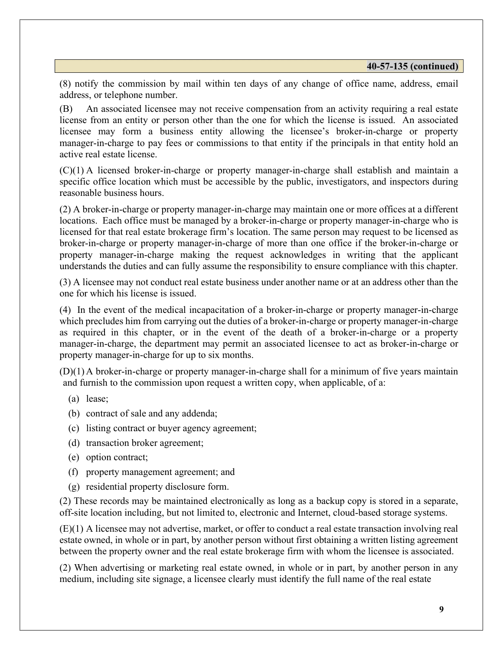(8) notify the commission by mail within ten days of any change of office name, address, email address, or telephone number.

(B) An associated licensee may not receive compensation from an activity requiring a real estate license from an entity or person other than the one for which the license is issued. An associated licensee may form a business entity allowing the licensee's broker-in-charge or property manager-in-charge to pay fees or commissions to that entity if the principals in that entity hold an active real estate license.

(C)(1) A licensed broker-in-charge or property manager-in-charge shall establish and maintain a specific office location which must be accessible by the public, investigators, and inspectors during reasonable business hours.

(2) A broker-in-charge or property manager-in-charge may maintain one or more offices at a different locations. Each office must be managed by a broker-in-charge or property manager-in-charge who is licensed for that real estate brokerage firm's location. The same person may request to be licensed as broker-in-charge or property manager-in-charge of more than one office if the broker-in-charge or property manager-in-charge making the request acknowledges in writing that the applicant understands the duties and can fully assume the responsibility to ensure compliance with this chapter.

(3) A licensee may not conduct real estate business under another name or at an address other than the one for which his license is issued.

(4) In the event of the medical incapacitation of a broker-in-charge or property manager-in-charge which precludes him from carrying out the duties of a broker-in-charge or property manager-in-charge as required in this chapter, or in the event of the death of a broker-in-charge or a property manager-in-charge, the department may permit an associated licensee to act as broker-in-charge or property manager-in-charge for up to six months.

(D)(1) A broker-in-charge or property manager-in-charge shall for a minimum of five years maintain and furnish to the commission upon request a written copy, when applicable, of a:

- (a) lease;
- (b) contract of sale and any addenda;
- (c) listing contract or buyer agency agreement;
- (d) transaction broker agreement;
- (e) option contract;
- (f) property management agreement; and
- (g) residential property disclosure form.

(2) These records may be maintained electronically as long as a backup copy is stored in a separate, off-site location including, but not limited to, electronic and Internet, cloud-based storage systems.

(E)(1) A licensee may not advertise, market, or offer to conduct a real estate transaction involving real estate owned, in whole or in part, by another person without first obtaining a written listing agreement between the property owner and the real estate brokerage firm with whom the licensee is associated.

(2) When advertising or marketing real estate owned, in whole or in part, by another person in any medium, including site signage, a licensee clearly must identify the full name of the real estate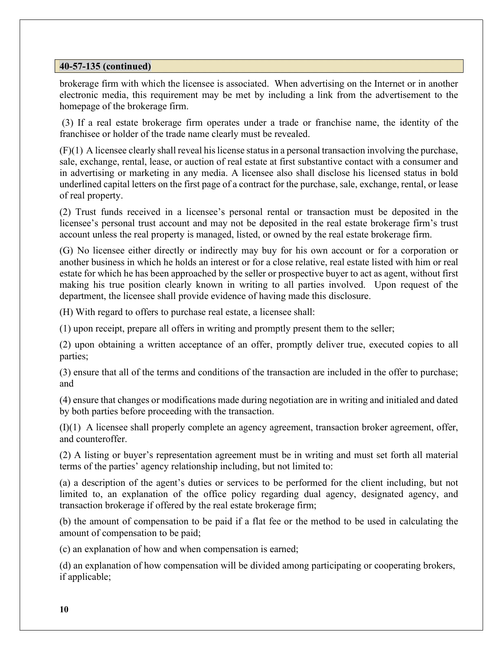brokerage firm with which the licensee is associated. When advertising on the Internet or in another electronic media, this requirement may be met by including a link from the advertisement to the homepage of the brokerage firm.

 (3) If a real estate brokerage firm operates under a trade or franchise name, the identity of the franchisee or holder of the trade name clearly must be revealed.

(F)(1) A licensee clearly shall reveal his license status in a personal transaction involving the purchase, sale, exchange, rental, lease, or auction of real estate at first substantive contact with a consumer and in advertising or marketing in any media. A licensee also shall disclose his licensed status in bold underlined capital letters on the first page of a contract for the purchase, sale, exchange, rental, or lease of real property.

(2) Trust funds received in a licensee's personal rental or transaction must be deposited in the licensee's personal trust account and may not be deposited in the real estate brokerage firm's trust account unless the real property is managed, listed, or owned by the real estate brokerage firm.

(G) No licensee either directly or indirectly may buy for his own account or for a corporation or another business in which he holds an interest or for a close relative, real estate listed with him or real estate for which he has been approached by the seller or prospective buyer to act as agent, without first making his true position clearly known in writing to all parties involved. Upon request of the department, the licensee shall provide evidence of having made this disclosure.

(H) With regard to offers to purchase real estate, a licensee shall:

(1) upon receipt, prepare all offers in writing and promptly present them to the seller;

(2) upon obtaining a written acceptance of an offer, promptly deliver true, executed copies to all parties;

(3) ensure that all of the terms and conditions of the transaction are included in the offer to purchase; and

(4) ensure that changes or modifications made during negotiation are in writing and initialed and dated by both parties before proceeding with the transaction.

(I)(1) A licensee shall properly complete an agency agreement, transaction broker agreement, offer, and counteroffer.

(2) A listing or buyer's representation agreement must be in writing and must set forth all material terms of the parties' agency relationship including, but not limited to:

(a) a description of the agent's duties or services to be performed for the client including, but not limited to, an explanation of the office policy regarding dual agency, designated agency, and transaction brokerage if offered by the real estate brokerage firm;

(b) the amount of compensation to be paid if a flat fee or the method to be used in calculating the amount of compensation to be paid;

(c) an explanation of how and when compensation is earned;

(d) an explanation of how compensation will be divided among participating or cooperating brokers, if applicable;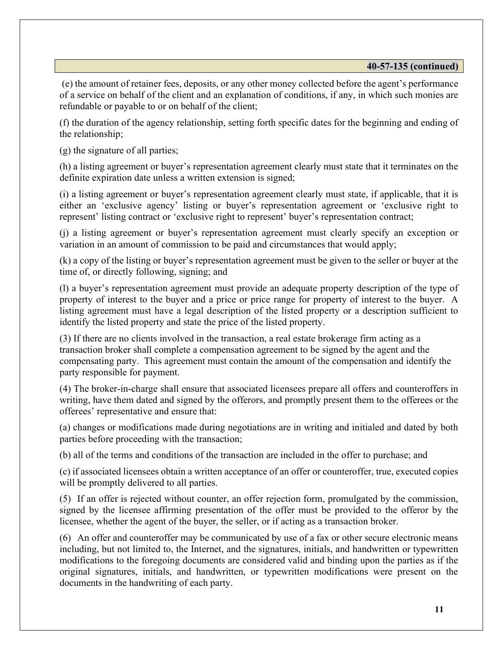(e) the amount of retainer fees, deposits, or any other money collected before the agent's performance of a service on behalf of the client and an explanation of conditions, if any, in which such monies are refundable or payable to or on behalf of the client;

(f) the duration of the agency relationship, setting forth specific dates for the beginning and ending of the relationship;

(g) the signature of all parties;

(h) a listing agreement or buyer's representation agreement clearly must state that it terminates on the definite expiration date unless a written extension is signed;

(i) a listing agreement or buyer's representation agreement clearly must state, if applicable, that it is either an 'exclusive agency' listing or buyer's representation agreement or 'exclusive right to represent' listing contract or 'exclusive right to represent' buyer's representation contract;

(j) a listing agreement or buyer's representation agreement must clearly specify an exception or variation in an amount of commission to be paid and circumstances that would apply;

(k) a copy of the listing or buyer's representation agreement must be given to the seller or buyer at the time of, or directly following, signing; and

(l) a buyer's representation agreement must provide an adequate property description of the type of property of interest to the buyer and a price or price range for property of interest to the buyer. A listing agreement must have a legal description of the listed property or a description sufficient to identify the listed property and state the price of the listed property.

(3) If there are no clients involved in the transaction, a real estate brokerage firm acting as a transaction broker shall complete a compensation agreement to be signed by the agent and the compensating party. This agreement must contain the amount of the compensation and identify the party responsible for payment.

(4) The broker-in-charge shall ensure that associated licensees prepare all offers and counteroffers in writing, have them dated and signed by the offerors, and promptly present them to the offerees or the offerees' representative and ensure that:

(a) changes or modifications made during negotiations are in writing and initialed and dated by both parties before proceeding with the transaction;

(b) all of the terms and conditions of the transaction are included in the offer to purchase; and

(c) if associated licensees obtain a written acceptance of an offer or counteroffer, true, executed copies will be promptly delivered to all parties.

(5) If an offer is rejected without counter, an offer rejection form, promulgated by the commission, signed by the licensee affirming presentation of the offer must be provided to the offeror by the licensee, whether the agent of the buyer, the seller, or if acting as a transaction broker.

(6) An offer and counteroffer may be communicated by use of a fax or other secure electronic means including, but not limited to, the Internet, and the signatures, initials, and handwritten or typewritten modifications to the foregoing documents are considered valid and binding upon the parties as if the original signatures, initials, and handwritten, or typewritten modifications were present on the documents in the handwriting of each party.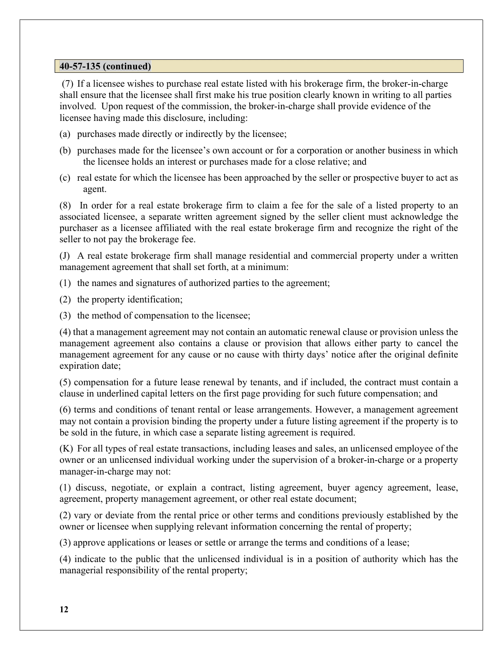(7) If a licensee wishes to purchase real estate listed with his brokerage firm, the broker-in-charge shall ensure that the licensee shall first make his true position clearly known in writing to all parties involved. Upon request of the commission, the broker-in-charge shall provide evidence of the licensee having made this disclosure, including:

- (a) purchases made directly or indirectly by the licensee;
- (b) purchases made for the licensee's own account or for a corporation or another business in which the licensee holds an interest or purchases made for a close relative; and
- (c) real estate for which the licensee has been approached by the seller or prospective buyer to act as agent.

(8) In order for a real estate brokerage firm to claim a fee for the sale of a listed property to an associated licensee, a separate written agreement signed by the seller client must acknowledge the purchaser as a licensee affiliated with the real estate brokerage firm and recognize the right of the seller to not pay the brokerage fee.

(J) A real estate brokerage firm shall manage residential and commercial property under a written management agreement that shall set forth, at a minimum:

(1) the names and signatures of authorized parties to the agreement;

(2) the property identification;

(3) the method of compensation to the licensee;

(4) that a management agreement may not contain an automatic renewal clause or provision unless the management agreement also contains a clause or provision that allows either party to cancel the management agreement for any cause or no cause with thirty days' notice after the original definite expiration date;

(5) compensation for a future lease renewal by tenants, and if included, the contract must contain a clause in underlined capital letters on the first page providing for such future compensation; and

(6) terms and conditions of tenant rental or lease arrangements. However, a management agreement may not contain a provision binding the property under a future listing agreement if the property is to be sold in the future, in which case a separate listing agreement is required.

(K) For all types of real estate transactions, including leases and sales, an unlicensed employee of the owner or an unlicensed individual working under the supervision of a broker-in-charge or a property manager-in-charge may not:

(1) discuss, negotiate, or explain a contract, listing agreement, buyer agency agreement, lease, agreement, property management agreement, or other real estate document;

(2) vary or deviate from the rental price or other terms and conditions previously established by the owner or licensee when supplying relevant information concerning the rental of property;

(3) approve applications or leases or settle or arrange the terms and conditions of a lease;

(4) indicate to the public that the unlicensed individual is in a position of authority which has the managerial responsibility of the rental property;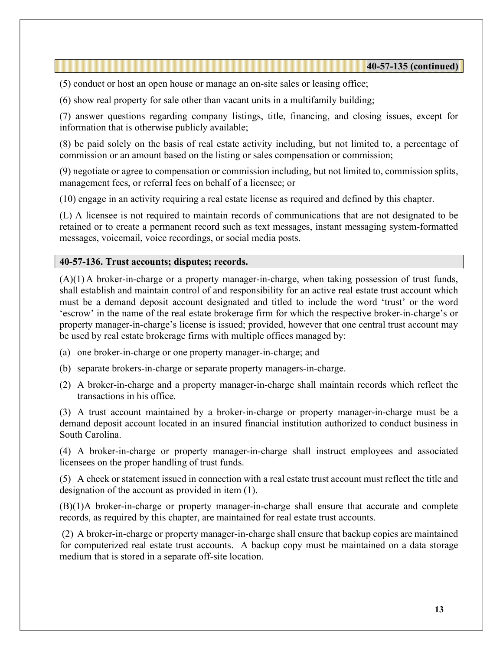(5) conduct or host an open house or manage an on-site sales or leasing office;

(6) show real property for sale other than vacant units in a multifamily building;

(7) answer questions regarding company listings, title, financing, and closing issues, except for information that is otherwise publicly available;

(8) be paid solely on the basis of real estate activity including, but not limited to, a percentage of commission or an amount based on the listing or sales compensation or commission;

(9) negotiate or agree to compensation or commission including, but not limited to, commission splits, management fees, or referral fees on behalf of a licensee; or

(10) engage in an activity requiring a real estate license as required and defined by this chapter.

(L) A licensee is not required to maintain records of communications that are not designated to be retained or to create a permanent record such as text messages, instant messaging system-formatted messages, voicemail, voice recordings, or social media posts.

#### 40-57-136. Trust accounts; disputes; records.

 $(A)(1)$  A broker-in-charge or a property manager-in-charge, when taking possession of trust funds, shall establish and maintain control of and responsibility for an active real estate trust account which must be a demand deposit account designated and titled to include the word 'trust' or the word 'escrow' in the name of the real estate brokerage firm for which the respective broker-in-charge's or property manager-in-charge's license is issued; provided, however that one central trust account may be used by real estate brokerage firms with multiple offices managed by:

- (a) one broker-in-charge or one property manager-in-charge; and
- (b) separate brokers-in-charge or separate property managers-in-charge.
- (2) A broker-in-charge and a property manager-in-charge shall maintain records which reflect the transactions in his office.

(3) A trust account maintained by a broker-in-charge or property manager-in-charge must be a demand deposit account located in an insured financial institution authorized to conduct business in South Carolina.

(4) A broker-in-charge or property manager-in-charge shall instruct employees and associated licensees on the proper handling of trust funds.

(5) A check or statement issued in connection with a real estate trust account must reflect the title and designation of the account as provided in item (1).

(B)(1)A broker-in-charge or property manager-in-charge shall ensure that accurate and complete records, as required by this chapter, are maintained for real estate trust accounts.

 (2) A broker-in-charge or property manager-in-charge shall ensure that backup copies are maintained for computerized real estate trust accounts. A backup copy must be maintained on a data storage medium that is stored in a separate off-site location.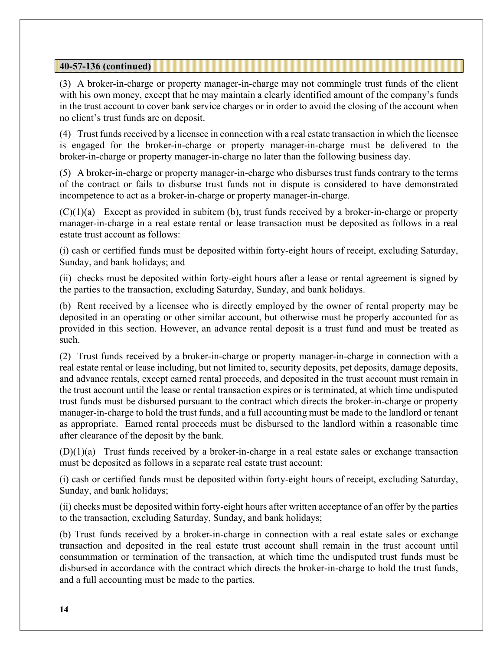## 40-57-136 (continued)

(3) A broker-in-charge or property manager-in-charge may not commingle trust funds of the client with his own money, except that he may maintain a clearly identified amount of the company's funds in the trust account to cover bank service charges or in order to avoid the closing of the account when no client's trust funds are on deposit.

(4) Trust funds received by a licensee in connection with a real estate transaction in which the licensee is engaged for the broker-in-charge or property manager-in-charge must be delivered to the broker-in-charge or property manager-in-charge no later than the following business day.

(5) A broker-in-charge or property manager-in-charge who disburses trust funds contrary to the terms of the contract or fails to disburse trust funds not in dispute is considered to have demonstrated incompetence to act as a broker-in-charge or property manager-in-charge.

 $(C)(1)(a)$  Except as provided in subitem (b), trust funds received by a broker-in-charge or property manager-in-charge in a real estate rental or lease transaction must be deposited as follows in a real estate trust account as follows:

(i) cash or certified funds must be deposited within forty-eight hours of receipt, excluding Saturday, Sunday, and bank holidays; and

(ii) checks must be deposited within forty-eight hours after a lease or rental agreement is signed by the parties to the transaction, excluding Saturday, Sunday, and bank holidays.

(b) Rent received by a licensee who is directly employed by the owner of rental property may be deposited in an operating or other similar account, but otherwise must be properly accounted for as provided in this section. However, an advance rental deposit is a trust fund and must be treated as such.

(2) Trust funds received by a broker-in-charge or property manager-in-charge in connection with a real estate rental or lease including, but not limited to, security deposits, pet deposits, damage deposits, and advance rentals, except earned rental proceeds, and deposited in the trust account must remain in the trust account until the lease or rental transaction expires or is terminated, at which time undisputed trust funds must be disbursed pursuant to the contract which directs the broker-in-charge or property manager-in-charge to hold the trust funds, and a full accounting must be made to the landlord or tenant as appropriate. Earned rental proceeds must be disbursed to the landlord within a reasonable time after clearance of the deposit by the bank.

 $(D)(1)(a)$  Trust funds received by a broker-in-charge in a real estate sales or exchange transaction must be deposited as follows in a separate real estate trust account:

(i) cash or certified funds must be deposited within forty-eight hours of receipt, excluding Saturday, Sunday, and bank holidays;

(ii) checks must be deposited within forty-eight hours after written acceptance of an offer by the parties to the transaction, excluding Saturday, Sunday, and bank holidays;

(b) Trust funds received by a broker-in-charge in connection with a real estate sales or exchange transaction and deposited in the real estate trust account shall remain in the trust account until consummation or termination of the transaction, at which time the undisputed trust funds must be disbursed in accordance with the contract which directs the broker-in-charge to hold the trust funds, and a full accounting must be made to the parties.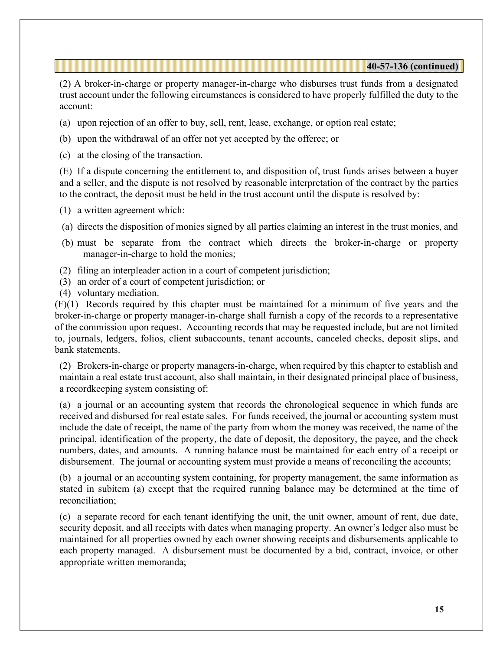#### 40-57-136 (continued)

(2) A broker-in-charge or property manager-in-charge who disburses trust funds from a designated trust account under the following circumstances is considered to have properly fulfilled the duty to the account:

- (a) upon rejection of an offer to buy, sell, rent, lease, exchange, or option real estate;
- (b) upon the withdrawal of an offer not yet accepted by the offeree; or
- (c) at the closing of the transaction.

(E) If a dispute concerning the entitlement to, and disposition of, trust funds arises between a buyer and a seller, and the dispute is not resolved by reasonable interpretation of the contract by the parties to the contract, the deposit must be held in the trust account until the dispute is resolved by:

- (1) a written agreement which:
- (a) directs the disposition of monies signed by all parties claiming an interest in the trust monies, and
- (b) must be separate from the contract which directs the broker-in-charge or property manager-in-charge to hold the monies;
- (2) filing an interpleader action in a court of competent jurisdiction;
- (3) an order of a court of competent jurisdiction; or
- (4) voluntary mediation.

(F)(1) Records required by this chapter must be maintained for a minimum of five years and the broker-in-charge or property manager-in-charge shall furnish a copy of the records to a representative of the commission upon request. Accounting records that may be requested include, but are not limited to, journals, ledgers, folios, client subaccounts, tenant accounts, canceled checks, deposit slips, and bank statements.

(2) Brokers-in-charge or property managers-in-charge, when required by this chapter to establish and maintain a real estate trust account, also shall maintain, in their designated principal place of business, a recordkeeping system consisting of:

(a) a journal or an accounting system that records the chronological sequence in which funds are received and disbursed for real estate sales. For funds received, the journal or accounting system must include the date of receipt, the name of the party from whom the money was received, the name of the principal, identification of the property, the date of deposit, the depository, the payee, and the check numbers, dates, and amounts. A running balance must be maintained for each entry of a receipt or disbursement. The journal or accounting system must provide a means of reconciling the accounts;

(b) a journal or an accounting system containing, for property management, the same information as stated in subitem (a) except that the required running balance may be determined at the time of reconciliation;

(c) a separate record for each tenant identifying the unit, the unit owner, amount of rent, due date, security deposit, and all receipts with dates when managing property. An owner's ledger also must be maintained for all properties owned by each owner showing receipts and disbursements applicable to each property managed. A disbursement must be documented by a bid, contract, invoice, or other appropriate written memoranda;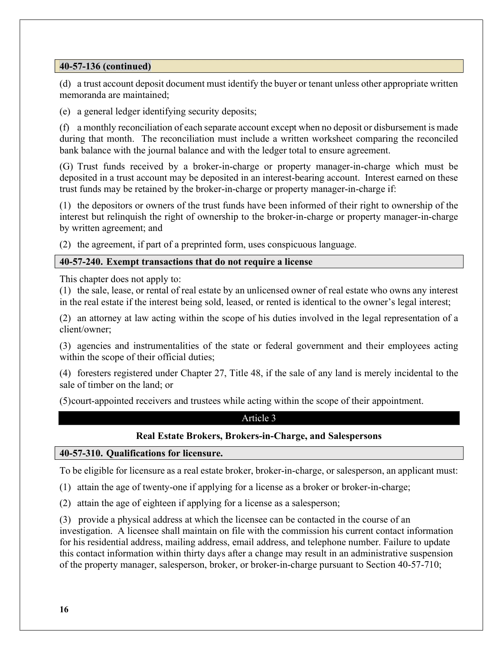## 40-57-136 (continued)

(d) a trust account deposit document must identify the buyer or tenant unless other appropriate written memoranda are maintained;

(e) a general ledger identifying security deposits;

(f) a monthly reconciliation of each separate account except when no deposit or disbursement is made during that month. The reconciliation must include a written worksheet comparing the reconciled bank balance with the journal balance and with the ledger total to ensure agreement.

(G) Trust funds received by a broker-in-charge or property manager-in-charge which must be deposited in a trust account may be deposited in an interest-bearing account. Interest earned on these trust funds may be retained by the broker-in-charge or property manager-in-charge if:

(1) the depositors or owners of the trust funds have been informed of their right to ownership of the interest but relinquish the right of ownership to the broker-in-charge or property manager-in-charge by written agreement; and

(2) the agreement, if part of a preprinted form, uses conspicuous language.

#### 40-57-240. Exempt transactions that do not require a license

This chapter does not apply to:

(1) the sale, lease, or rental of real estate by an unlicensed owner of real estate who owns any interest in the real estate if the interest being sold, leased, or rented is identical to the owner's legal interest;

(2) an attorney at law acting within the scope of his duties involved in the legal representation of a client/owner;

(3) agencies and instrumentalities of the state or federal government and their employees acting within the scope of their official duties;

(4) foresters registered under Chapter 27, Title 48, if the sale of any land is merely incidental to the sale of timber on the land; or

(5) court-appointed receivers and trustees while acting within the scope of their appointment.

#### Article 3

## Real Estate Brokers, Brokers-in-Charge, and Salespersons

#### 40-57-310. Qualifications for licensure.

To be eligible for licensure as a real estate broker, broker-in-charge, or salesperson, an applicant must:

(1) attain the age of twenty-one if applying for a license as a broker or broker-in-charge;

(2) attain the age of eighteen if applying for a license as a salesperson;

(3) provide a physical address at which the licensee can be contacted in the course of an investigation. A licensee shall maintain on file with the commission his current contact information for his residential address, mailing address, email address, and telephone number. Failure to update this contact information within thirty days after a change may result in an administrative suspension of the property manager, salesperson, broker, or broker-in-charge pursuant to Section 40-57-710;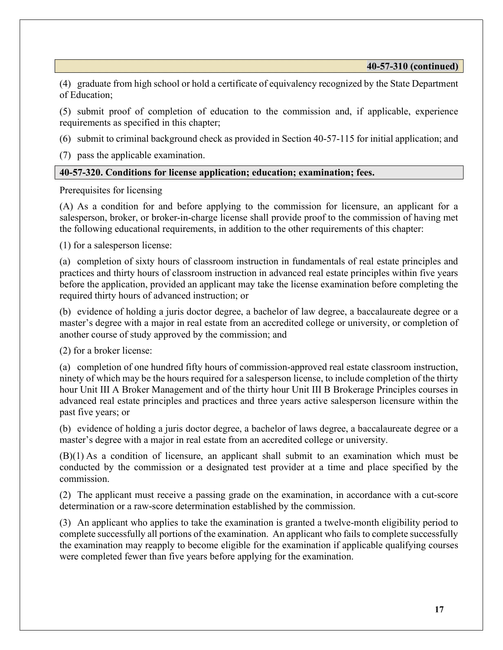(4) graduate from high school or hold a certificate of equivalency recognized by the State Department of Education;

(5) submit proof of completion of education to the commission and, if applicable, experience requirements as specified in this chapter;

(6) submit to criminal background check as provided in Section 40-57-115 for initial application; and

(7) pass the applicable examination.

#### 40-57-320. Conditions for license application; education; examination; fees.

Prerequisites for licensing

(A) As a condition for and before applying to the commission for licensure, an applicant for a salesperson, broker, or broker-in-charge license shall provide proof to the commission of having met the following educational requirements, in addition to the other requirements of this chapter:

(1) for a salesperson license:

(a) completion of sixty hours of classroom instruction in fundamentals of real estate principles and practices and thirty hours of classroom instruction in advanced real estate principles within five years before the application, provided an applicant may take the license examination before completing the required thirty hours of advanced instruction; or

(b) evidence of holding a juris doctor degree, a bachelor of law degree, a baccalaureate degree or a master's degree with a major in real estate from an accredited college or university, or completion of another course of study approved by the commission; and

(2) for a broker license:

(a) completion of one hundred fifty hours of commission-approved real estate classroom instruction, ninety of which may be the hours required for a salesperson license, to include completion of the thirty hour Unit III A Broker Management and of the thirty hour Unit III B Brokerage Principles courses in advanced real estate principles and practices and three years active salesperson licensure within the past five years; or

(b) evidence of holding a juris doctor degree, a bachelor of laws degree, a baccalaureate degree or a master's degree with a major in real estate from an accredited college or university.

(B)(1) As a condition of licensure, an applicant shall submit to an examination which must be conducted by the commission or a designated test provider at a time and place specified by the commission.

(2) The applicant must receive a passing grade on the examination, in accordance with a cut-score determination or a raw-score determination established by the commission.

(3) An applicant who applies to take the examination is granted a twelve-month eligibility period to complete successfully all portions of the examination. An applicant who fails to complete successfully the examination may reapply to become eligible for the examination if applicable qualifying courses were completed fewer than five years before applying for the examination.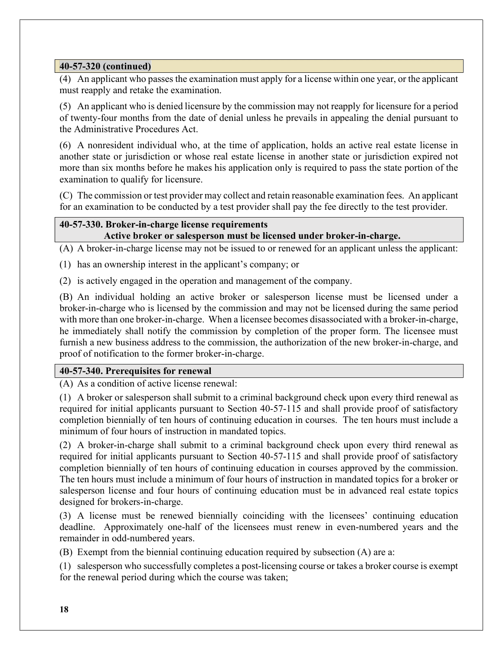(4) An applicant who passes the examination must apply for a license within one year, or the applicant must reapply and retake the examination.

(5) An applicant who is denied licensure by the commission may not reapply for licensure for a period of twenty-four months from the date of denial unless he prevails in appealing the denial pursuant to the Administrative Procedures Act.

(6) A nonresident individual who, at the time of application, holds an active real estate license in another state or jurisdiction or whose real estate license in another state or jurisdiction expired not more than six months before he makes his application only is required to pass the state portion of the examination to qualify for licensure.

(C) The commission or test provider may collect and retain reasonable examination fees. An applicant for an examination to be conducted by a test provider shall pay the fee directly to the test provider.

## 40-57-330. Broker-in-charge license requirements Active broker or salesperson must be licensed under broker-in-charge.

(A) A broker-in-charge license may not be issued to or renewed for an applicant unless the applicant:

(1) has an ownership interest in the applicant's company; or

(2) is actively engaged in the operation and management of the company.

(B) An individual holding an active broker or salesperson license must be licensed under a broker-in-charge who is licensed by the commission and may not be licensed during the same period with more than one broker-in-charge. When a licensee becomes disassociated with a broker-in-charge, he immediately shall notify the commission by completion of the proper form. The licensee must furnish a new business address to the commission, the authorization of the new broker-in-charge, and proof of notification to the former broker-in-charge.

## 40-57-340. Prerequisites for renewal

(A) As a condition of active license renewal:

(1) A broker or salesperson shall submit to a criminal background check upon every third renewal as required for initial applicants pursuant to Section 40-57-115 and shall provide proof of satisfactory completion biennially of ten hours of continuing education in courses. The ten hours must include a minimum of four hours of instruction in mandated topics.

(2) A broker-in-charge shall submit to a criminal background check upon every third renewal as required for initial applicants pursuant to Section 40-57-115 and shall provide proof of satisfactory completion biennially of ten hours of continuing education in courses approved by the commission. The ten hours must include a minimum of four hours of instruction in mandated topics for a broker or salesperson license and four hours of continuing education must be in advanced real estate topics designed for brokers-in-charge.

(3) A license must be renewed biennially coinciding with the licensees' continuing education deadline. Approximately one-half of the licensees must renew in even-numbered years and the remainder in odd-numbered years.

(B) Exempt from the biennial continuing education required by subsection (A) are a:

(1) salesperson who successfully completes a post-licensing course or takes a broker course is exempt for the renewal period during which the course was taken;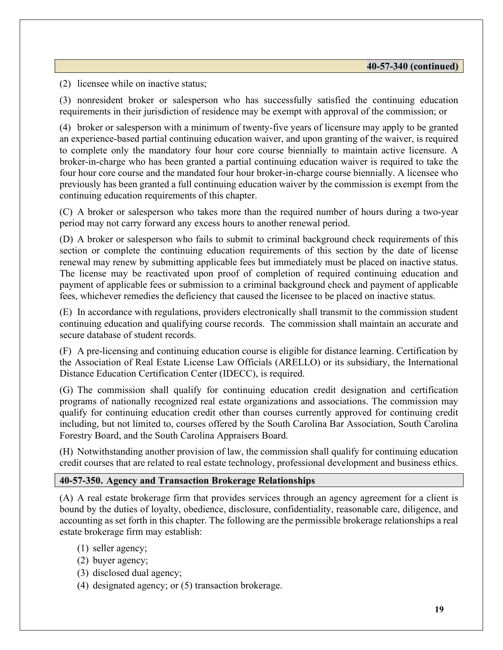(2) licensee while on inactive status;

(3) nonresident broker or salesperson who has successfully satisfied the continuing education requirements in their jurisdiction of residence may be exempt with approval of the commission; or

(4) broker or salesperson with a minimum of twenty-five years of licensure may apply to be granted an experience-based partial continuing education waiver, and upon granting of the waiver, is required to complete only the mandatory four hour core course biennially to maintain active licensure. A broker-in-charge who has been granted a partial continuing education waiver is required to take the four hour core course and the mandated four hour broker-in-charge course biennially. A licensee who previously has been granted a full continuing education waiver by the commission is exempt from the continuing education requirements of this chapter.

(C) A broker or salesperson who takes more than the required number of hours during a two-year period may not carry forward any excess hours to another renewal period.

(D) A broker or salesperson who fails to submit to criminal background check requirements of this section or complete the continuing education requirements of this section by the date of license renewal may renew by submitting applicable fees but immediately must be placed on inactive status. The license may be reactivated upon proof of completion of required continuing education and payment of applicable fees or submission to a criminal background check and payment of applicable fees, whichever remedies the deficiency that caused the licensee to be placed on inactive status.

(E) In accordance with regulations, providers electronically shall transmit to the commission student continuing education and qualifying course records. The commission shall maintain an accurate and secure database of student records.

(F) A pre-licensing and continuing education course is eligible for distance learning. Certification by the Association of Real Estate License Law Officials (ARELLO) or its subsidiary, the International Distance Education Certification Center (IDECC), is required.

(G) The commission shall qualify for continuing education credit designation and certification programs of nationally recognized real estate organizations and associations. The commission may qualify for continuing education credit other than courses currently approved for continuing credit including, but not limited to, courses offered by the South Carolina Bar Association, South Carolina Forestry Board, and the South Carolina Appraisers Board.

(H) Notwithstanding another provision of law, the commission shall qualify for continuing education credit courses that are related to real estate technology, professional development and business ethics.

## 40-57-350. Agency and Transaction Brokerage Relationships

(A) A real estate brokerage firm that provides services through an agency agreement for a client is bound by the duties of loyalty, obedience, disclosure, confidentiality, reasonable care, diligence, and accounting as set forth in this chapter. The following are the permissible brokerage relationships a real estate brokerage firm may establish:

- (1) seller agency;
- (2) buyer agency;
- (3) disclosed dual agency;
- (4) designated agency; or (5) transaction brokerage.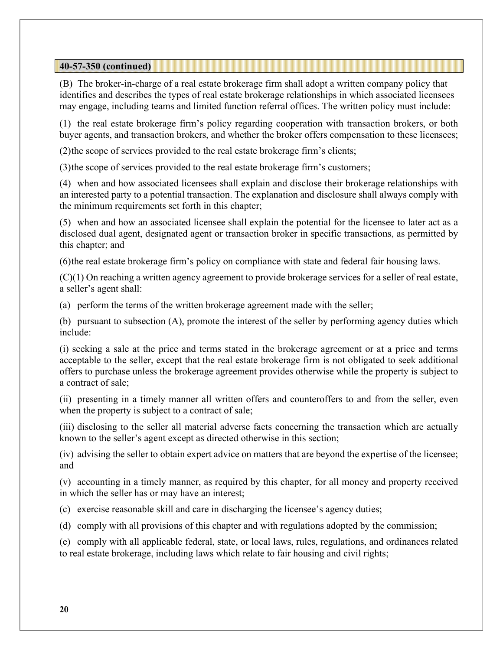(B) The broker-in-charge of a real estate brokerage firm shall adopt a written company policy that identifies and describes the types of real estate brokerage relationships in which associated licensees may engage, including teams and limited function referral offices. The written policy must include:

(1) the real estate brokerage firm's policy regarding cooperation with transaction brokers, or both buyer agents, and transaction brokers, and whether the broker offers compensation to these licensees;

(2) the scope of services provided to the real estate brokerage firm's clients;

(3) the scope of services provided to the real estate brokerage firm's customers;

(4) when and how associated licensees shall explain and disclose their brokerage relationships with an interested party to a potential transaction. The explanation and disclosure shall always comply with the minimum requirements set forth in this chapter;

(5) when and how an associated licensee shall explain the potential for the licensee to later act as a disclosed dual agent, designated agent or transaction broker in specific transactions, as permitted by this chapter; and

(6) the real estate brokerage firm's policy on compliance with state and federal fair housing laws.

 $(C)(1)$  On reaching a written agency agreement to provide brokerage services for a seller of real estate, a seller's agent shall:

(a) perform the terms of the written brokerage agreement made with the seller;

(b) pursuant to subsection (A), promote the interest of the seller by performing agency duties which include:

(i) seeking a sale at the price and terms stated in the brokerage agreement or at a price and terms acceptable to the seller, except that the real estate brokerage firm is not obligated to seek additional offers to purchase unless the brokerage agreement provides otherwise while the property is subject to a contract of sale;

(ii) presenting in a timely manner all written offers and counteroffers to and from the seller, even when the property is subject to a contract of sale;

(iii) disclosing to the seller all material adverse facts concerning the transaction which are actually known to the seller's agent except as directed otherwise in this section;

(iv) advising the seller to obtain expert advice on matters that are beyond the expertise of the licensee; and

(v) accounting in a timely manner, as required by this chapter, for all money and property received in which the seller has or may have an interest;

(c) exercise reasonable skill and care in discharging the licensee's agency duties;

(d) comply with all provisions of this chapter and with regulations adopted by the commission;

(e) comply with all applicable federal, state, or local laws, rules, regulations, and ordinances related to real estate brokerage, including laws which relate to fair housing and civil rights;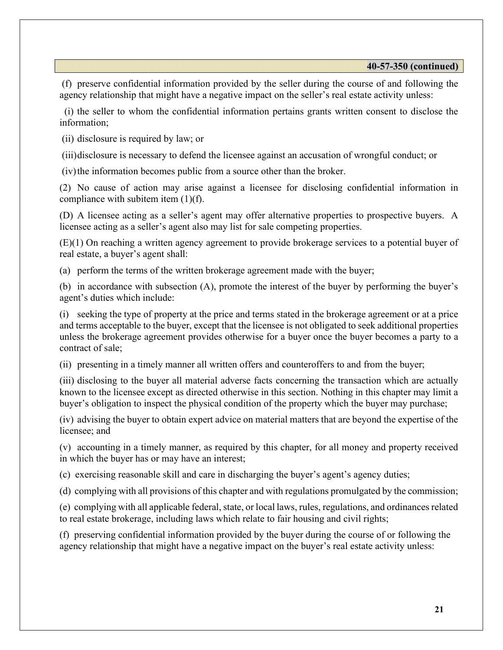(f) preserve confidential information provided by the seller during the course of and following the agency relationship that might have a negative impact on the seller's real estate activity unless:

 (i) the seller to whom the confidential information pertains grants written consent to disclose the information;

(ii) disclosure is required by law; or

(iii) disclosure is necessary to defend the licensee against an accusation of wrongful conduct; or

(iv) the information becomes public from a source other than the broker.

(2) No cause of action may arise against a licensee for disclosing confidential information in compliance with subitem item (1)(f).

(D) A licensee acting as a seller's agent may offer alternative properties to prospective buyers. A licensee acting as a seller's agent also may list for sale competing properties.

(E)(1) On reaching a written agency agreement to provide brokerage services to a potential buyer of real estate, a buyer's agent shall:

(a) perform the terms of the written brokerage agreement made with the buyer;

(b) in accordance with subsection (A), promote the interest of the buyer by performing the buyer's agent's duties which include:

(i) seeking the type of property at the price and terms stated in the brokerage agreement or at a price and terms acceptable to the buyer, except that the licensee is not obligated to seek additional properties unless the brokerage agreement provides otherwise for a buyer once the buyer becomes a party to a contract of sale;

(ii) presenting in a timely manner all written offers and counteroffers to and from the buyer;

(iii) disclosing to the buyer all material adverse facts concerning the transaction which are actually known to the licensee except as directed otherwise in this section. Nothing in this chapter may limit a buyer's obligation to inspect the physical condition of the property which the buyer may purchase;

(iv) advising the buyer to obtain expert advice on material matters that are beyond the expertise of the licensee; and

(v) accounting in a timely manner, as required by this chapter, for all money and property received in which the buyer has or may have an interest;

(c) exercising reasonable skill and care in discharging the buyer's agent's agency duties;

(d) complying with all provisions of this chapter and with regulations promulgated by the commission;

(e) complying with all applicable federal, state, or local laws, rules, regulations, and ordinances related to real estate brokerage, including laws which relate to fair housing and civil rights;

(f) preserving confidential information provided by the buyer during the course of or following the agency relationship that might have a negative impact on the buyer's real estate activity unless: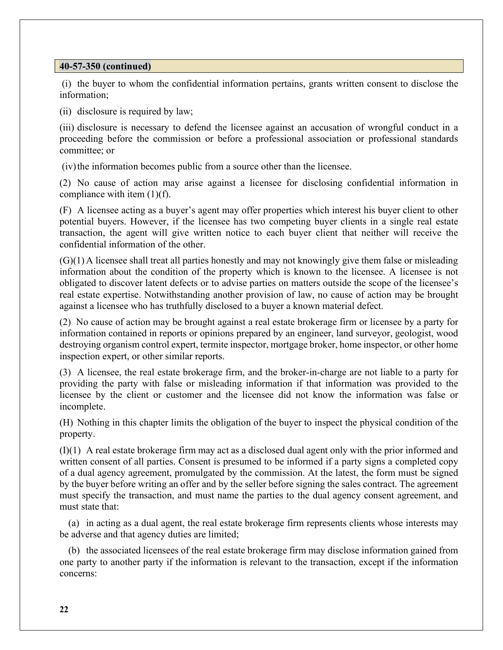(i) the buyer to whom the confidential information pertains, grants written consent to disclose the information;

(ii) disclosure is required by law;

(iii) disclosure is necessary to defend the licensee against an accusation of wrongful conduct in a proceeding before the commission or before a professional association or professional standards committee; or

(iv) the information becomes public from a source other than the licensee.

(2) No cause of action may arise against a licensee for disclosing confidential information in compliance with item  $(1)(f)$ .

(F) A licensee acting as a buyer's agent may offer properties which interest his buyer client to other potential buyers. However, if the licensee has two competing buyer clients in a single real estate transaction, the agent will give written notice to each buyer client that neither will receive the confidential information of the other.

 $(G)(1)$  A licensee shall treat all parties honestly and may not knowingly give them false or misleading information about the condition of the property which is known to the licensee. A licensee is not obligated to discover latent defects or to advise parties on matters outside the scope of the licensee's real estate expertise. Notwithstanding another provision of law, no cause of action may be brought against a licensee who has truthfully disclosed to a buyer a known material defect.

(2) No cause of action may be brought against a real estate brokerage firm or licensee by a party for information contained in reports or opinions prepared by an engineer, land surveyor, geologist, wood destroying organism control expert, termite inspector, mortgage broker, home inspector, or other home inspection expert, or other similar reports.

(3) A licensee, the real estate brokerage firm, and the broker-in-charge are not liable to a party for providing the party with false or misleading information if that information was provided to the licensee by the client or customer and the licensee did not know the information was false or incomplete.

(H) Nothing in this chapter limits the obligation of the buyer to inspect the physical condition of the property.

(I)(1) A real estate brokerage firm may act as a disclosed dual agent only with the prior informed and written consent of all parties. Consent is presumed to be informed if a party signs a completed copy of a dual agency agreement, promulgated by the commission. At the latest, the form must be signed by the buyer before writing an offer and by the seller before signing the sales contract. The agreement must specify the transaction, and must name the parties to the dual agency consent agreement, and must state that:

 (a) in acting as a dual agent, the real estate brokerage firm represents clients whose interests may be adverse and that agency duties are limited;

 (b) the associated licensees of the real estate brokerage firm may disclose information gained from one party to another party if the information is relevant to the transaction, except if the information concerns: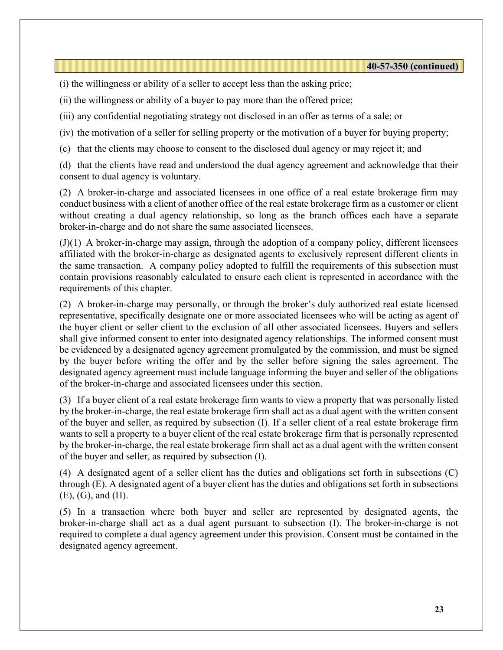(i) the willingness or ability of a seller to accept less than the asking price;

(ii) the willingness or ability of a buyer to pay more than the offered price;

(iii) any confidential negotiating strategy not disclosed in an offer as terms of a sale; or

(iv) the motivation of a seller for selling property or the motivation of a buyer for buying property;

(c) that the clients may choose to consent to the disclosed dual agency or may reject it; and

(d) that the clients have read and understood the dual agency agreement and acknowledge that their consent to dual agency is voluntary.

(2) A broker-in-charge and associated licensees in one office of a real estate brokerage firm may conduct business with a client of another office of the real estate brokerage firm as a customer or client without creating a dual agency relationship, so long as the branch offices each have a separate broker-in-charge and do not share the same associated licensees.

(J)(1) A broker-in-charge may assign, through the adoption of a company policy, different licensees affiliated with the broker-in-charge as designated agents to exclusively represent different clients in the same transaction. A company policy adopted to fulfill the requirements of this subsection must contain provisions reasonably calculated to ensure each client is represented in accordance with the requirements of this chapter.

(2) A broker-in-charge may personally, or through the broker's duly authorized real estate licensed representative, specifically designate one or more associated licensees who will be acting as agent of the buyer client or seller client to the exclusion of all other associated licensees. Buyers and sellers shall give informed consent to enter into designated agency relationships. The informed consent must be evidenced by a designated agency agreement promulgated by the commission, and must be signed by the buyer before writing the offer and by the seller before signing the sales agreement. The designated agency agreement must include language informing the buyer and seller of the obligations of the broker-in-charge and associated licensees under this section.

(3) If a buyer client of a real estate brokerage firm wants to view a property that was personally listed by the broker-in-charge, the real estate brokerage firm shall act as a dual agent with the written consent of the buyer and seller, as required by subsection (I). If a seller client of a real estate brokerage firm wants to sell a property to a buyer client of the real estate brokerage firm that is personally represented by the broker-in-charge, the real estate brokerage firm shall act as a dual agent with the written consent of the buyer and seller, as required by subsection (I).

(4) A designated agent of a seller client has the duties and obligations set forth in subsections (C) through (E). A designated agent of a buyer client has the duties and obligations set forth in subsections (E), (G), and (H).

(5) In a transaction where both buyer and seller are represented by designated agents, the broker-in-charge shall act as a dual agent pursuant to subsection (I). The broker-in-charge is not required to complete a dual agency agreement under this provision. Consent must be contained in the designated agency agreement.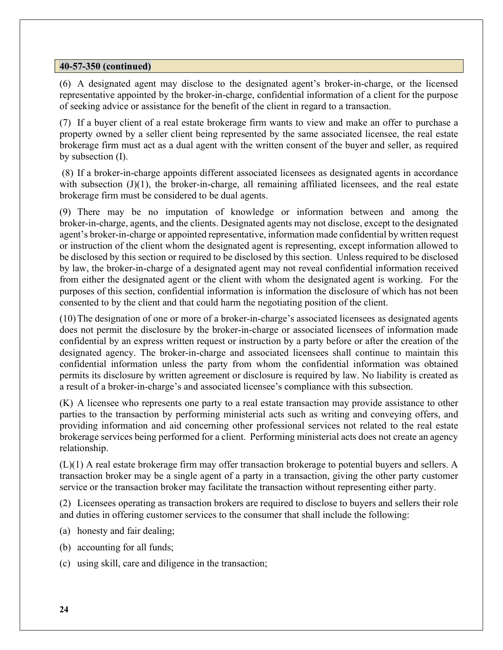(6) A designated agent may disclose to the designated agent's broker-in-charge, or the licensed representative appointed by the broker-in-charge, confidential information of a client for the purpose of seeking advice or assistance for the benefit of the client in regard to a transaction.

(7) If a buyer client of a real estate brokerage firm wants to view and make an offer to purchase a property owned by a seller client being represented by the same associated licensee, the real estate brokerage firm must act as a dual agent with the written consent of the buyer and seller, as required by subsection (I).

 (8) If a broker-in-charge appoints different associated licensees as designated agents in accordance with subsection  $(J)(1)$ , the broker-in-charge, all remaining affiliated licensees, and the real estate brokerage firm must be considered to be dual agents.

(9) There may be no imputation of knowledge or information between and among the broker-in-charge, agents, and the clients. Designated agents may not disclose, except to the designated agent's broker-in-charge or appointed representative, information made confidential by written request or instruction of the client whom the designated agent is representing, except information allowed to be disclosed by this section or required to be disclosed by this section. Unless required to be disclosed by law, the broker-in-charge of a designated agent may not reveal confidential information received from either the designated agent or the client with whom the designated agent is working. For the purposes of this section, confidential information is information the disclosure of which has not been consented to by the client and that could harm the negotiating position of the client.

(10) The designation of one or more of a broker-in-charge's associated licensees as designated agents does not permit the disclosure by the broker-in-charge or associated licensees of information made confidential by an express written request or instruction by a party before or after the creation of the designated agency. The broker-in-charge and associated licensees shall continue to maintain this confidential information unless the party from whom the confidential information was obtained permits its disclosure by written agreement or disclosure is required by law. No liability is created as a result of a broker-in-charge's and associated licensee's compliance with this subsection.

(K) A licensee who represents one party to a real estate transaction may provide assistance to other parties to the transaction by performing ministerial acts such as writing and conveying offers, and providing information and aid concerning other professional services not related to the real estate brokerage services being performed for a client. Performing ministerial acts does not create an agency relationship.

(L)(1) A real estate brokerage firm may offer transaction brokerage to potential buyers and sellers. A transaction broker may be a single agent of a party in a transaction, giving the other party customer service or the transaction broker may facilitate the transaction without representing either party.

(2) Licensees operating as transaction brokers are required to disclose to buyers and sellers their role and duties in offering customer services to the consumer that shall include the following:

- (a) honesty and fair dealing;
- (b) accounting for all funds;
- (c) using skill, care and diligence in the transaction;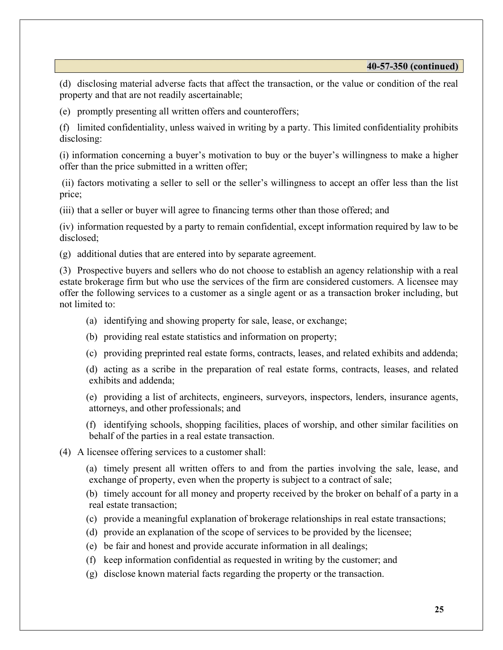(d) disclosing material adverse facts that affect the transaction, or the value or condition of the real property and that are not readily ascertainable;

(e) promptly presenting all written offers and counteroffers;

(f) limited confidentiality, unless waived in writing by a party. This limited confidentiality prohibits disclosing:

(i) information concerning a buyer's motivation to buy or the buyer's willingness to make a higher offer than the price submitted in a written offer;

 (ii) factors motivating a seller to sell or the seller's willingness to accept an offer less than the list price;

(iii) that a seller or buyer will agree to financing terms other than those offered; and

(iv) information requested by a party to remain confidential, except information required by law to be disclosed;

(g) additional duties that are entered into by separate agreement.

(3) Prospective buyers and sellers who do not choose to establish an agency relationship with a real estate brokerage firm but who use the services of the firm are considered customers. A licensee may offer the following services to a customer as a single agent or as a transaction broker including, but not limited to:

- (a) identifying and showing property for sale, lease, or exchange;
- (b) providing real estate statistics and information on property;
- (c) providing preprinted real estate forms, contracts, leases, and related exhibits and addenda;

 (d) acting as a scribe in the preparation of real estate forms, contracts, leases, and related exhibits and addenda;

 (e) providing a list of architects, engineers, surveyors, inspectors, lenders, insurance agents, attorneys, and other professionals; and

 (f) identifying schools, shopping facilities, places of worship, and other similar facilities on behalf of the parties in a real estate transaction.

(4) A licensee offering services to a customer shall:

 (a) timely present all written offers to and from the parties involving the sale, lease, and exchange of property, even when the property is subject to a contract of sale;

 (b) timely account for all money and property received by the broker on behalf of a party in a real estate transaction;

- (c) provide a meaningful explanation of brokerage relationships in real estate transactions;
- (d) provide an explanation of the scope of services to be provided by the licensee;
- (e) be fair and honest and provide accurate information in all dealings;
- (f) keep information confidential as requested in writing by the customer; and
- (g) disclose known material facts regarding the property or the transaction.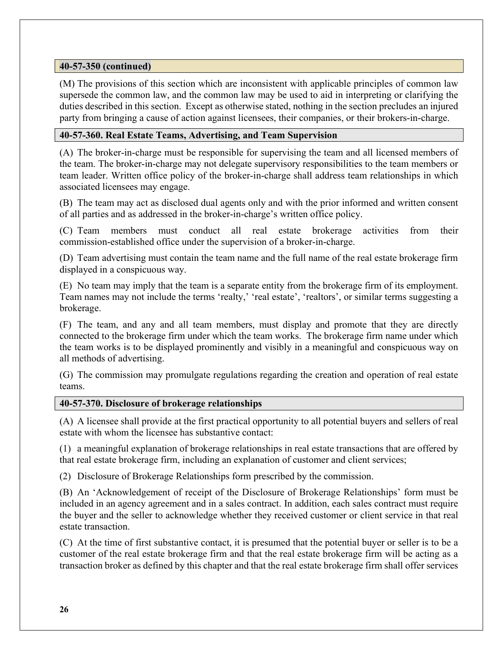(M) The provisions of this section which are inconsistent with applicable principles of common law supersede the common law, and the common law may be used to aid in interpreting or clarifying the duties described in this section. Except as otherwise stated, nothing in the section precludes an injured party from bringing a cause of action against licensees, their companies, or their brokers-in-charge.

## 40-57-360. Real Estate Teams, Advertising, and Team Supervision

(A) The broker-in-charge must be responsible for supervising the team and all licensed members of the team. The broker-in-charge may not delegate supervisory responsibilities to the team members or team leader. Written office policy of the broker-in-charge shall address team relationships in which associated licensees may engage.

(B) The team may act as disclosed dual agents only and with the prior informed and written consent of all parties and as addressed in the broker-in-charge's written office policy.

(C) Team members must conduct all real estate brokerage activities from their commission-established office under the supervision of a broker-in-charge.

(D) Team advertising must contain the team name and the full name of the real estate brokerage firm displayed in a conspicuous way.

(E) No team may imply that the team is a separate entity from the brokerage firm of its employment. Team names may not include the terms 'realty,' 'real estate', 'realtors', or similar terms suggesting a brokerage.

(F) The team, and any and all team members, must display and promote that they are directly connected to the brokerage firm under which the team works. The brokerage firm name under which the team works is to be displayed prominently and visibly in a meaningful and conspicuous way on all methods of advertising.

(G) The commission may promulgate regulations regarding the creation and operation of real estate teams.

## 40-57-370. Disclosure of brokerage relationships

(A) A licensee shall provide at the first practical opportunity to all potential buyers and sellers of real estate with whom the licensee has substantive contact:

(1) a meaningful explanation of brokerage relationships in real estate transactions that are offered by that real estate brokerage firm, including an explanation of customer and client services;

(2) Disclosure of Brokerage Relationships form prescribed by the commission.

(B) An 'Acknowledgement of receipt of the Disclosure of Brokerage Relationships' form must be included in an agency agreement and in a sales contract. In addition, each sales contract must require the buyer and the seller to acknowledge whether they received customer or client service in that real estate transaction.

(C) At the time of first substantive contact, it is presumed that the potential buyer or seller is to be a customer of the real estate brokerage firm and that the real estate brokerage firm will be acting as a transaction broker as defined by this chapter and that the real estate brokerage firm shall offer services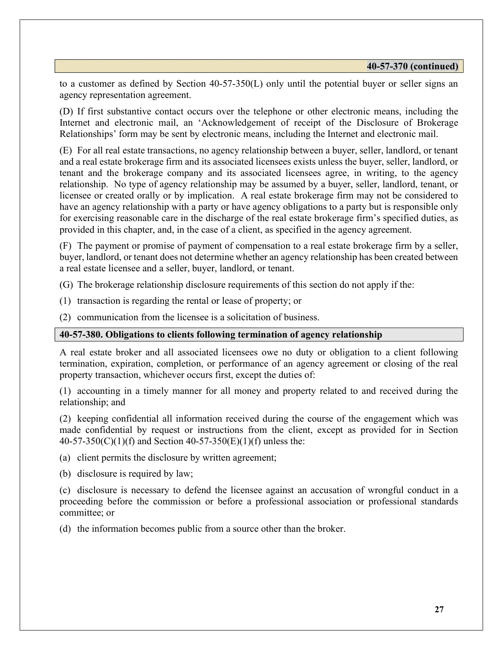to a customer as defined by Section 40-57-350(L) only until the potential buyer or seller signs an agency representation agreement.

(D) If first substantive contact occurs over the telephone or other electronic means, including the Internet and electronic mail, an 'Acknowledgement of receipt of the Disclosure of Brokerage Relationships' form may be sent by electronic means, including the Internet and electronic mail.

(E) For all real estate transactions, no agency relationship between a buyer, seller, landlord, or tenant and a real estate brokerage firm and its associated licensees exists unless the buyer, seller, landlord, or tenant and the brokerage company and its associated licensees agree, in writing, to the agency relationship. No type of agency relationship may be assumed by a buyer, seller, landlord, tenant, or licensee or created orally or by implication. A real estate brokerage firm may not be considered to have an agency relationship with a party or have agency obligations to a party but is responsible only for exercising reasonable care in the discharge of the real estate brokerage firm's specified duties, as provided in this chapter, and, in the case of a client, as specified in the agency agreement.

(F) The payment or promise of payment of compensation to a real estate brokerage firm by a seller, buyer, landlord, or tenant does not determine whether an agency relationship has been created between a real estate licensee and a seller, buyer, landlord, or tenant.

(G) The brokerage relationship disclosure requirements of this section do not apply if the:

- (1) transaction is regarding the rental or lease of property; or
- (2) communication from the licensee is a solicitation of business.

#### 40-57-380. Obligations to clients following termination of agency relationship

A real estate broker and all associated licensees owe no duty or obligation to a client following termination, expiration, completion, or performance of an agency agreement or closing of the real property transaction, whichever occurs first, except the duties of:

(1) accounting in a timely manner for all money and property related to and received during the relationship; and

(2) keeping confidential all information received during the course of the engagement which was made confidential by request or instructions from the client, except as provided for in Section 40-57-350(C)(1)(f) and Section 40-57-350(E)(1)(f) unless the:

(a) client permits the disclosure by written agreement;

(b) disclosure is required by law;

(c) disclosure is necessary to defend the licensee against an accusation of wrongful conduct in a proceeding before the commission or before a professional association or professional standards committee; or

(d) the information becomes public from a source other than the broker.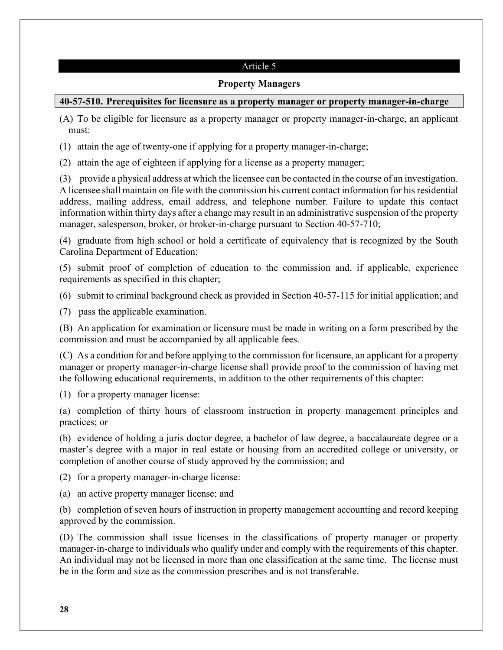## Article 5

### Property Managers

## 40-57-510. Prerequisites for licensure as a property manager or property manager-in-charge

(A) To be eligible for licensure as a property manager or property manager-in-charge, an applicant must:

(1) attain the age of twenty-one if applying for a property manager-in-charge;

(2) attain the age of eighteen if applying for a license as a property manager;

(3) provide a physical address at which the licensee can be contacted in the course of an investigation. A licensee shall maintain on file with the commission his current contact information for his residential address, mailing address, email address, and telephone number. Failure to update this contact information within thirty days after a change may result in an administrative suspension of the property manager, salesperson, broker, or broker-in-charge pursuant to Section 40-57-710;

(4) graduate from high school or hold a certificate of equivalency that is recognized by the South Carolina Department of Education;

(5) submit proof of completion of education to the commission and, if applicable, experience requirements as specified in this chapter;

(6) submit to criminal background check as provided in Section 40-57-115 for initial application; and

(7) pass the applicable examination.

(B) An application for examination or licensure must be made in writing on a form prescribed by the commission and must be accompanied by all applicable fees.

(C) As a condition for and before applying to the commission for licensure, an applicant for a property manager or property manager-in-charge license shall provide proof to the commission of having met the following educational requirements, in addition to the other requirements of this chapter:

(1) for a property manager license:

(a) completion of thirty hours of classroom instruction in property management principles and practices; or

(b) evidence of holding a juris doctor degree, a bachelor of law degree, a baccalaureate degree or a master's degree with a major in real estate or housing from an accredited college or university, or completion of another course of study approved by the commission; and

(2) for a property manager-in-charge license:

(a) an active property manager license; and

(b) completion of seven hours of instruction in property management accounting and record keeping approved by the commission.

(D) The commission shall issue licenses in the classifications of property manager or property manager-in-charge to individuals who qualify under and comply with the requirements of this chapter. An individual may not be licensed in more than one classification at the same time. The license must be in the form and size as the commission prescribes and is not transferable.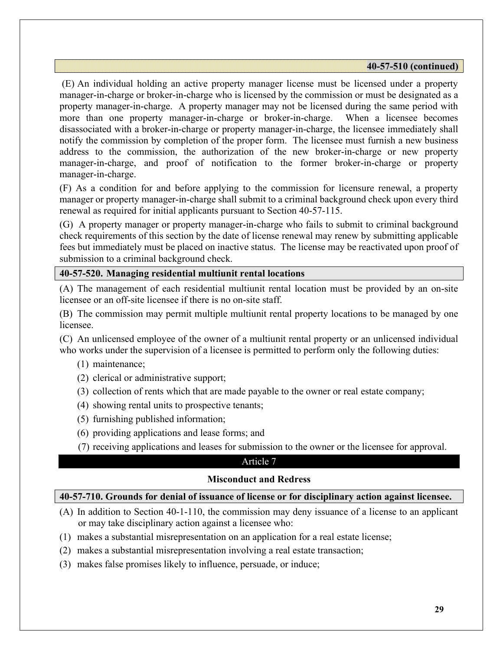(E) An individual holding an active property manager license must be licensed under a property manager-in-charge or broker-in-charge who is licensed by the commission or must be designated as a property manager-in-charge. A property manager may not be licensed during the same period with more than one property manager-in-charge or broker-in-charge. When a licensee becomes disassociated with a broker-in-charge or property manager-in-charge, the licensee immediately shall notify the commission by completion of the proper form. The licensee must furnish a new business address to the commission, the authorization of the new broker-in-charge or new property manager-in-charge, and proof of notification to the former broker-in-charge or property manager-in-charge.

(F) As a condition for and before applying to the commission for licensure renewal, a property manager or property manager-in-charge shall submit to a criminal background check upon every third renewal as required for initial applicants pursuant to Section 40-57-115.

(G) A property manager or property manager-in-charge who fails to submit to criminal background check requirements of this section by the date of license renewal may renew by submitting applicable fees but immediately must be placed on inactive status. The license may be reactivated upon proof of submission to a criminal background check.

## 40-57-520. Managing residential multiunit rental locations

(A) The management of each residential multiunit rental location must be provided by an on-site licensee or an off-site licensee if there is no on-site staff.

(B) The commission may permit multiple multiunit rental property locations to be managed by one licensee.

(C) An unlicensed employee of the owner of a multiunit rental property or an unlicensed individual who works under the supervision of a licensee is permitted to perform only the following duties:

- (1) maintenance;
- (2) clerical or administrative support;
- (3) collection of rents which that are made payable to the owner or real estate company;
- (4) showing rental units to prospective tenants;
- (5) furnishing published information;
- (6) providing applications and lease forms; and
- (7) receiving applications and leases for submission to the owner or the licensee for approval.

#### Article 7

#### Misconduct and Redress

## 40-57-710. Grounds for denial of issuance of license or for disciplinary action against licensee.

- (A) In addition to Section 40-1-110, the commission may deny issuance of a license to an applicant or may take disciplinary action against a licensee who:
- (1) makes a substantial misrepresentation on an application for a real estate license;
- (2) makes a substantial misrepresentation involving a real estate transaction;
- (3) makes false promises likely to influence, persuade, or induce;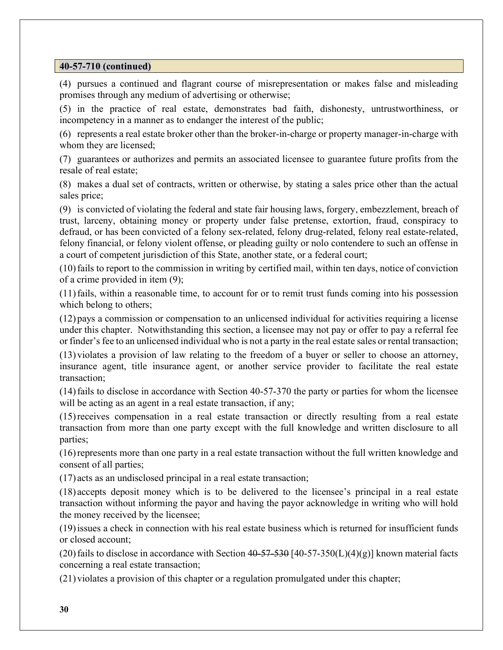### 40-57-710 (continued)

(4) pursues a continued and flagrant course of misrepresentation or makes false and misleading promises through any medium of advertising or otherwise;

(5) in the practice of real estate, demonstrates bad faith, dishonesty, untrustworthiness, or incompetency in a manner as to endanger the interest of the public;

(6) represents a real estate broker other than the broker-in-charge or property manager-in-charge with whom they are licensed;

(7) guarantees or authorizes and permits an associated licensee to guarantee future profits from the resale of real estate;

(8) makes a dual set of contracts, written or otherwise, by stating a sales price other than the actual sales price;

(9) is convicted of violating the federal and state fair housing laws, forgery, embezzlement, breach of trust, larceny, obtaining money or property under false pretense, extortion, fraud, conspiracy to defraud, or has been convicted of a felony sex-related, felony drug-related, felony real estate-related, felony financial, or felony violent offense, or pleading guilty or nolo contendere to such an offense in a court of competent jurisdiction of this State, another state, or a federal court;

(10) fails to report to the commission in writing by certified mail, within ten days, notice of conviction of a crime provided in item (9);

(11) fails, within a reasonable time, to account for or to remit trust funds coming into his possession which belong to others;

(12) pays a commission or compensation to an unlicensed individual for activities requiring a license under this chapter. Notwithstanding this section, a licensee may not pay or offer to pay a referral fee or finder's fee to an unlicensed individual who is not a party in the real estate sales or rental transaction;

(13) violates a provision of law relating to the freedom of a buyer or seller to choose an attorney, insurance agent, title insurance agent, or another service provider to facilitate the real estate transaction;

(14) fails to disclose in accordance with Section 40-57-370 the party or parties for whom the licensee will be acting as an agent in a real estate transaction, if any;

(15) receives compensation in a real estate transaction or directly resulting from a real estate transaction from more than one party except with the full knowledge and written disclosure to all parties;

(16) represents more than one party in a real estate transaction without the full written knowledge and consent of all parties;

(17) acts as an undisclosed principal in a real estate transaction;

(18) accepts deposit money which is to be delivered to the licensee's principal in a real estate transaction without informing the payor and having the payor acknowledge in writing who will hold the money received by the licensee;

(19) issues a check in connection with his real estate business which is returned for insufficient funds or closed account;

(20) fails to disclose in accordance with Section  $40-57-530$  [40-57-350(L)(4)(g)] known material facts concerning a real estate transaction;

(21) violates a provision of this chapter or a regulation promulgated under this chapter;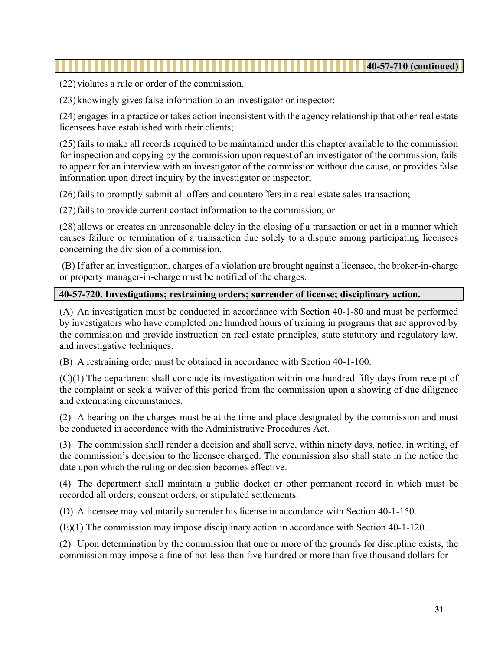(22) violates a rule or order of the commission.

(23) knowingly gives false information to an investigator or inspector;

(24) engages in a practice or takes action inconsistent with the agency relationship that other real estate licensees have established with their clients;

(25) fails to make all records required to be maintained under this chapter available to the commission for inspection and copying by the commission upon request of an investigator of the commission, fails to appear for an interview with an investigator of the commission without due cause, or provides false information upon direct inquiry by the investigator or inspector;

(26) fails to promptly submit all offers and counteroffers in a real estate sales transaction;

(27) fails to provide current contact information to the commission; or

(28) allows or creates an unreasonable delay in the closing of a transaction or act in a manner which causes failure or termination of a transaction due solely to a dispute among participating licensees concerning the division of a commission.

 (B) If after an investigation, charges of a violation are brought against a licensee, the broker-in-charge or property manager-in-charge must be notified of the charges.

#### 40-57-720. Investigations; restraining orders; surrender of license; disciplinary action.

(A) An investigation must be conducted in accordance with Section 40-1-80 and must be performed by investigators who have completed one hundred hours of training in programs that are approved by the commission and provide instruction on real estate principles, state statutory and regulatory law, and investigative techniques.

(B) A restraining order must be obtained in accordance with Section 40-1-100.

(C)(1) The department shall conclude its investigation within one hundred fifty days from receipt of the complaint or seek a waiver of this period from the commission upon a showing of due diligence and extenuating circumstances.

(2) A hearing on the charges must be at the time and place designated by the commission and must be conducted in accordance with the Administrative Procedures Act.

(3) The commission shall render a decision and shall serve, within ninety days, notice, in writing, of the commission's decision to the licensee charged. The commission also shall state in the notice the date upon which the ruling or decision becomes effective.

(4) The department shall maintain a public docket or other permanent record in which must be recorded all orders, consent orders, or stipulated settlements.

(D) A licensee may voluntarily surrender his license in accordance with Section 40-1-150.

(E)(1) The commission may impose disciplinary action in accordance with Section 40-1-120.

(2) Upon determination by the commission that one or more of the grounds for discipline exists, the commission may impose a fine of not less than five hundred or more than five thousand dollars for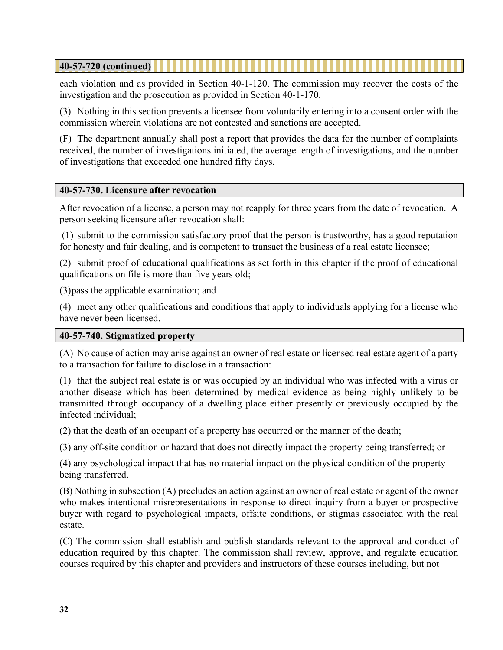## 40-57-720 (continued)

each violation and as provided in Section 40-1-120. The commission may recover the costs of the investigation and the prosecution as provided in Section 40-1-170.

(3) Nothing in this section prevents a licensee from voluntarily entering into a consent order with the commission wherein violations are not contested and sanctions are accepted.

(F) The department annually shall post a report that provides the data for the number of complaints received, the number of investigations initiated, the average length of investigations, and the number of investigations that exceeded one hundred fifty days.

## 40-57-730. Licensure after revocation

After revocation of a license, a person may not reapply for three years from the date of revocation. A person seeking licensure after revocation shall:

 (1) submit to the commission satisfactory proof that the person is trustworthy, has a good reputation for honesty and fair dealing, and is competent to transact the business of a real estate licensee;

(2) submit proof of educational qualifications as set forth in this chapter if the proof of educational qualifications on file is more than five years old;

(3) pass the applicable examination; and

(4) meet any other qualifications and conditions that apply to individuals applying for a license who have never been licensed.

## 40-57-740. Stigmatized property

(A) No cause of action may arise against an owner of real estate or licensed real estate agent of a party to a transaction for failure to disclose in a transaction:

(1) that the subject real estate is or was occupied by an individual who was infected with a virus or another disease which has been determined by medical evidence as being highly unlikely to be transmitted through occupancy of a dwelling place either presently or previously occupied by the infected individual;

(2) that the death of an occupant of a property has occurred or the manner of the death;

(3) any off-site condition or hazard that does not directly impact the property being transferred; or

(4) any psychological impact that has no material impact on the physical condition of the property being transferred.

(B) Nothing in subsection (A) precludes an action against an owner of real estate or agent of the owner who makes intentional misrepresentations in response to direct inquiry from a buyer or prospective buyer with regard to psychological impacts, offsite conditions, or stigmas associated with the real estate.

(C) The commission shall establish and publish standards relevant to the approval and conduct of education required by this chapter. The commission shall review, approve, and regulate education courses required by this chapter and providers and instructors of these courses including, but not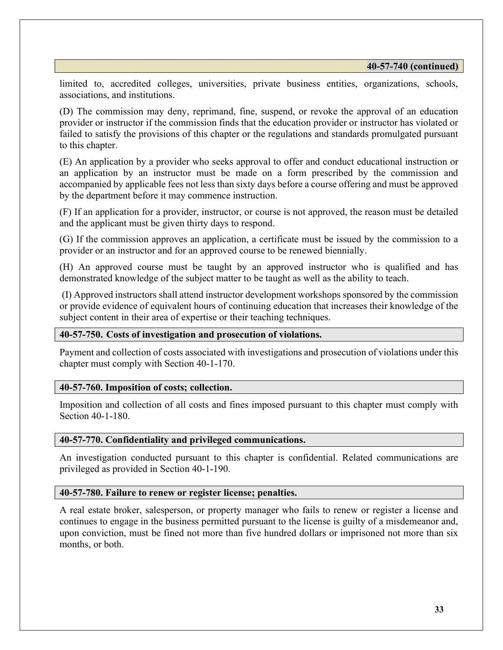limited to, accredited colleges, universities, private business entities, organizations, schools, associations, and institutions.

(D) The commission may deny, reprimand, fine, suspend, or revoke the approval of an education provider or instructor if the commission finds that the education provider or instructor has violated or failed to satisfy the provisions of this chapter or the regulations and standards promulgated pursuant to this chapter.

(E) An application by a provider who seeks approval to offer and conduct educational instruction or an application by an instructor must be made on a form prescribed by the commission and accompanied by applicable fees not less than sixty days before a course offering and must be approved by the department before it may commence instruction.

(F) If an application for a provider, instructor, or course is not approved, the reason must be detailed and the applicant must be given thirty days to respond.

 (G) If the commission approves an application, a certificate must be issued by the commission to a provider or an instructor and for an approved course to be renewed biennially.

(H) An approved course must be taught by an approved instructor who is qualified and has demonstrated knowledge of the subject matter to be taught as well as the ability to teach.

 (I) Approved instructors shall attend instructor development workshops sponsored by the commission or provide evidence of equivalent hours of continuing education that increases their knowledge of the subject content in their area of expertise or their teaching techniques.

#### 40-57-750. Costs of investigation and prosecution of violations.

Payment and collection of costs associated with investigations and prosecution of violations under this chapter must comply with Section 40-1-170.

#### 40-57-760. Imposition of costs; collection.

Imposition and collection of all costs and fines imposed pursuant to this chapter must comply with Section 40-1-180.

#### 40-57-770. Confidentiality and privileged communications.

An investigation conducted pursuant to this chapter is confidential. Related communications are privileged as provided in Section 40-1-190.

#### 40-57-780. Failure to renew or register license; penalties.

A real estate broker, salesperson, or property manager who fails to renew or register a license and continues to engage in the business permitted pursuant to the license is guilty of a misdemeanor and, upon conviction, must be fined not more than five hundred dollars or imprisoned not more than six months, or both.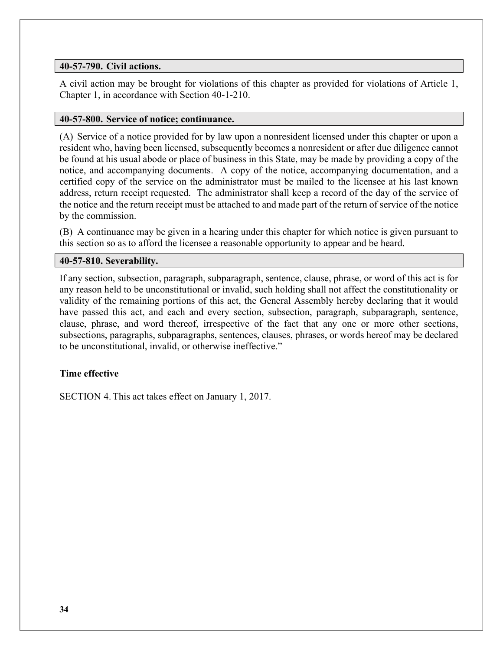## 40-57-790. Civil actions.

A civil action may be brought for violations of this chapter as provided for violations of Article 1, Chapter 1, in accordance with Section 40-1-210.

#### 40-57-800. Service of notice; continuance.

(A) Service of a notice provided for by law upon a nonresident licensed under this chapter or upon a resident who, having been licensed, subsequently becomes a nonresident or after due diligence cannot be found at his usual abode or place of business in this State, may be made by providing a copy of the notice, and accompanying documents. A copy of the notice, accompanying documentation, and a certified copy of the service on the administrator must be mailed to the licensee at his last known address, return receipt requested. The administrator shall keep a record of the day of the service of the notice and the return receipt must be attached to and made part of the return of service of the notice by the commission.

(B) A continuance may be given in a hearing under this chapter for which notice is given pursuant to this section so as to afford the licensee a reasonable opportunity to appear and be heard.

#### 40-57-810. Severability.

If any section, subsection, paragraph, subparagraph, sentence, clause, phrase, or word of this act is for any reason held to be unconstitutional or invalid, such holding shall not affect the constitutionality or validity of the remaining portions of this act, the General Assembly hereby declaring that it would have passed this act, and each and every section, subsection, paragraph, subparagraph, sentence, clause, phrase, and word thereof, irrespective of the fact that any one or more other sections, subsections, paragraphs, subparagraphs, sentences, clauses, phrases, or words hereof may be declared to be unconstitutional, invalid, or otherwise ineffective."

## Time effective

SECTION 4. This act takes effect on January 1, 2017.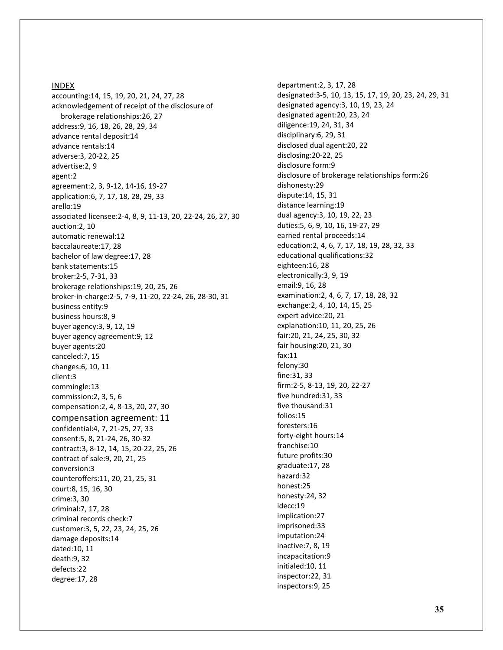#### INDEX

accounting:14, 15, 19, 20, 21, 24, 27, 28 acknowledgement of receipt of the disclosure of brokerage relationships:26, 27 address:9, 16, 18, 26, 28, 29, 34 advance rental deposit:14 advance rentals:14 adverse:3, 20-22, 25 advertise:2, 9 agent:2 agreement:2, 3, 9-12, 14-16, 19-27 application:6, 7, 17, 18, 28, 29, 33 arello:19 associated licensee:2-4, 8, 9, 11-13, 20, 22-24, 26, 27, 30 auction:2, 10 automatic renewal:12 baccalaureate:17, 28 bachelor of law degree:17, 28 bank statements:15 broker:2-5, 7-31, 33 brokerage relationships:19, 20, 25, 26 broker-in-charge:2-5, 7-9, 11-20, 22-24, 26, 28-30, 31 business entity:9 business hours:8, 9 buyer agency:3, 9, 12, 19 buyer agency agreement:9, 12 buyer agents:20 canceled:7, 15 changes:6, 10, 11 client:3 commingle:13 commission:2, 3, 5, 6 compensation:2, 4, 8-13, 20, 27, 30 compensation agreement: 11 confidential:4, 7, 21-25, 27, 33 consent:5, 8, 21-24, 26, 30-32 contract:3, 8-12, 14, 15, 20-22, 25, 26 contract of sale:9, 20, 21, 25 conversion:3 counteroffers:11, 20, 21, 25, 31 court:8, 15, 16, 30 crime:3, 30 criminal:7, 17, 28 criminal records check:7 customer:3, 5, 22, 23, 24, 25, 26 damage deposits:14 dated:10, 11 death:9, 32 defects:22 degree:17, 28

department:2, 3, 17, 28 designated:3-5, 10, 13, 15, 17, 19, 20, 23, 24, 29, 31 designated agency:3, 10, 19, 23, 24 designated agent:20, 23, 24 diligence:19, 24, 31, 34 disciplinary:6, 29, 31 disclosed dual agent:20, 22 disclosing:20-22, 25 disclosure form:9 disclosure of brokerage relationships form:26 dishonesty:29 dispute:14, 15, 31 distance learning:19 dual agency:3, 10, 19, 22, 23 duties:5, 6, 9, 10, 16, 19-27, 29 earned rental proceeds:14 education:2, 4, 6, 7, 17, 18, 19, 28, 32, 33 educational qualifications:32 eighteen:16, 28 electronically:3, 9, 19 email:9, 16, 28 examination:2, 4, 6, 7, 17, 18, 28, 32 exchange:2, 4, 10, 14, 15, 25 expert advice:20, 21 explanation:10, 11, 20, 25, 26 fair:20, 21, 24, 25, 30, 32 fair housing:20, 21, 30 fax:11 felony:30 fine:31, 33 firm:2-5, 8-13, 19, 20, 22-27 five hundred:31, 33 five thousand:31 folios:15 foresters:16 forty-eight hours:14 franchise:10 future profits:30 graduate:17, 28 hazard:32 honest:25 honesty:24, 32 idecc:19 implication:27 imprisoned:33 imputation:24 inactive:7, 8, 19 incapacitation:9 initialed:10, 11 inspector:22, 31 inspectors:9, 25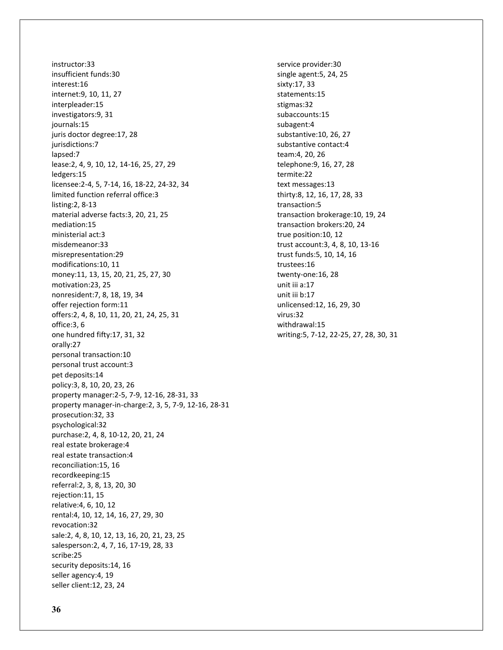instructor:33 insufficient funds:30 interest:16 internet:9, 10, 11, 27 interpleader:15 investigators:9, 31 journals:15 juris doctor degree:17, 28 jurisdictions:7 lapsed:7 lease:2, 4, 9, 10, 12, 14-16, 25, 27, 29 ledgers:15 licensee:2-4, 5, 7-14, 16, 18-22, 24-32, 34 limited function referral office:3 listing:2, 8-13 material adverse facts:3, 20, 21, 25 mediation:15 ministerial act:3 misdemeanor:33 misrepresentation:29 modifications:10, 11 money:11, 13, 15, 20, 21, 25, 27, 30 motivation:23, 25 nonresident:7, 8, 18, 19, 34 offer rejection form:11 offers:2, 4, 8, 10, 11, 20, 21, 24, 25, 31 office:3, 6 one hundred fifty:17, 31, 32 orally:27 personal transaction:10 personal trust account:3 pet deposits:14 policy:3, 8, 10, 20, 23, 26 property manager:2-5, 7-9, 12-16, 28-31, 33 property manager-in-charge:2, 3, 5, 7-9, 12-16, 28-31 prosecution:32, 33 psychological:32 purchase:2, 4, 8, 10-12, 20, 21, 24 real estate brokerage:4 real estate transaction:4 reconciliation:15, 16 recordkeeping:15 referral:2, 3, 8, 13, 20, 30 rejection:11, 15 relative:4, 6, 10, 12 rental:4, 10, 12, 14, 16, 27, 29, 30 revocation:32 sale:2, 4, 8, 10, 12, 13, 16, 20, 21, 23, 25 salesperson:2, 4, 7, 16, 17-19, 28, 33 scribe:25 security deposits:14, 16 seller agency:4, 19 seller client:12, 23, 24

service provider:30 single agent:5, 24, 25 sixty:17, 33 statements:15 stigmas:32 subaccounts:15 subagent:4 substantive:10, 26, 27 substantive contact:4 team:4, 20, 26 telephone:9, 16, 27, 28 termite:22 text messages:13 thirty:8, 12, 16, 17, 28, 33 transaction:5 transaction brokerage:10, 19, 24 transaction brokers:20, 24 true position:10, 12 trust account:3, 4, 8, 10, 13-16 trust funds:5, 10, 14, 16 trustees:16 twenty-one:16, 28 unit iii a:17 unit iii b:17 unlicensed:12, 16, 29, 30 virus:32 withdrawal:15 writing:5, 7-12, 22-25, 27, 28, 30, 31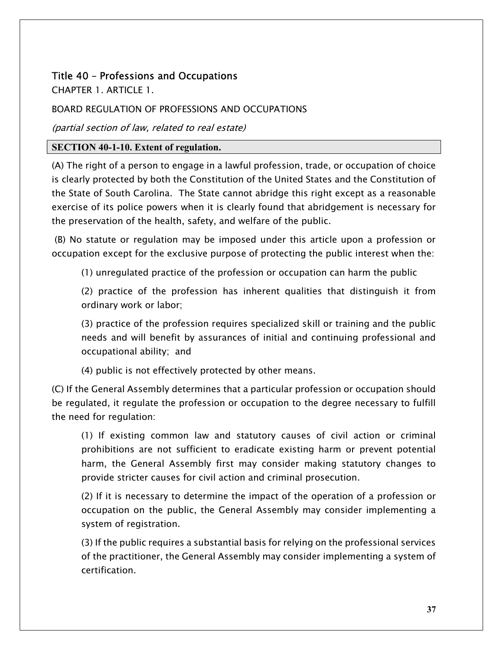# Title 40 – Professions and Occupations

CHAPTER 1. ARTICLE 1.

## BOARD REGULATION OF PROFESSIONS AND OCCUPATIONS

(partial section of law, related to real estate)

## SECTION 40-1-10. Extent of regulation.

(A) The right of a person to engage in a lawful profession, trade, or occupation of choice is clearly protected by both the Constitution of the United States and the Constitution of the State of South Carolina. The State cannot abridge this right except as a reasonable exercise of its police powers when it is clearly found that abridgement is necessary for the preservation of the health, safety, and welfare of the public.

 (B) No statute or regulation may be imposed under this article upon a profession or occupation except for the exclusive purpose of protecting the public interest when the:

(1) unregulated practice of the profession or occupation can harm the public

(2) practice of the profession has inherent qualities that distinguish it from ordinary work or labor;

(3) practice of the profession requires specialized skill or training and the public needs and will benefit by assurances of initial and continuing professional and occupational ability; and

(4) public is not effectively protected by other means.

(C) If the General Assembly determines that a particular profession or occupation should be regulated, it regulate the profession or occupation to the degree necessary to fulfill the need for regulation:

(1) If existing common law and statutory causes of civil action or criminal prohibitions are not sufficient to eradicate existing harm or prevent potential harm, the General Assembly first may consider making statutory changes to provide stricter causes for civil action and criminal prosecution.

(2) If it is necessary to determine the impact of the operation of a profession or occupation on the public, the General Assembly may consider implementing a system of registration.

(3) If the public requires a substantial basis for relying on the professional services of the practitioner, the General Assembly may consider implementing a system of certification.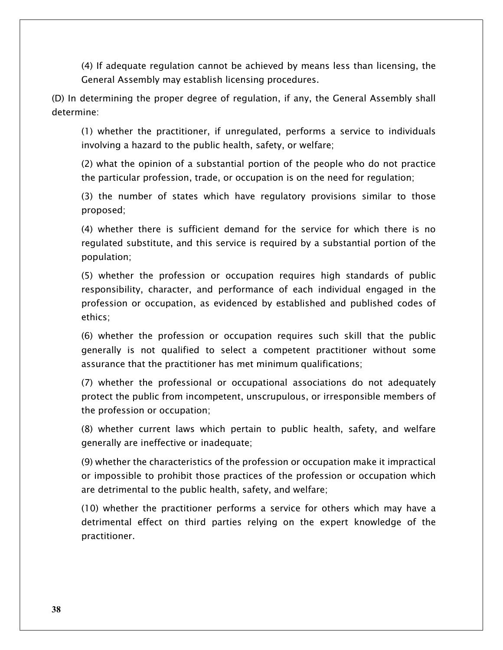(4) If adequate regulation cannot be achieved by means less than licensing, the General Assembly may establish licensing procedures.

(D) In determining the proper degree of regulation, if any, the General Assembly shall determine:

(1) whether the practitioner, if unregulated, performs a service to individuals involving a hazard to the public health, safety, or welfare;

(2) what the opinion of a substantial portion of the people who do not practice the particular profession, trade, or occupation is on the need for regulation;

(3) the number of states which have regulatory provisions similar to those proposed;

(4) whether there is sufficient demand for the service for which there is no regulated substitute, and this service is required by a substantial portion of the population;

(5) whether the profession or occupation requires high standards of public responsibility, character, and performance of each individual engaged in the profession or occupation, as evidenced by established and published codes of ethics;

(6) whether the profession or occupation requires such skill that the public generally is not qualified to select a competent practitioner without some assurance that the practitioner has met minimum qualifications;

(7) whether the professional or occupational associations do not adequately protect the public from incompetent, unscrupulous, or irresponsible members of the profession or occupation;

(8) whether current laws which pertain to public health, safety, and welfare generally are ineffective or inadequate;

(9) whether the characteristics of the profession or occupation make it impractical or impossible to prohibit those practices of the profession or occupation which are detrimental to the public health, safety, and welfare;

(10) whether the practitioner performs a service for others which may have a detrimental effect on third parties relying on the expert knowledge of the practitioner.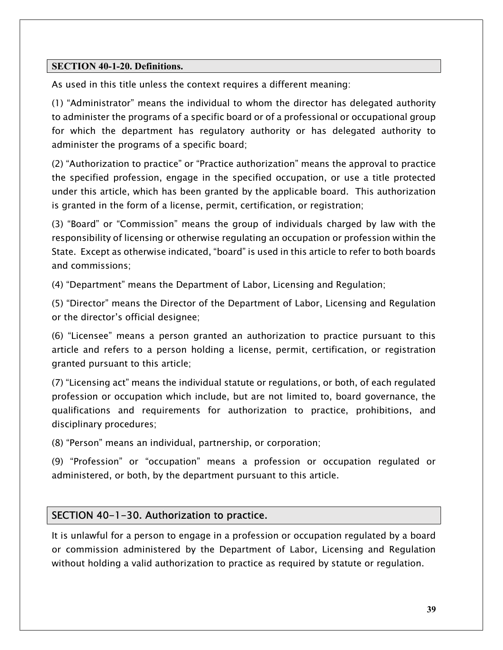## SECTION 40-1-20. Definitions.

As used in this title unless the context requires a different meaning:

(1) "Administrator" means the individual to whom the director has delegated authority to administer the programs of a specific board or of a professional or occupational group for which the department has regulatory authority or has delegated authority to administer the programs of a specific board;

(2) "Authorization to practice" or "Practice authorization" means the approval to practice the specified profession, engage in the specified occupation, or use a title protected under this article, which has been granted by the applicable board. This authorization is granted in the form of a license, permit, certification, or registration;

(3) "Board" or "Commission" means the group of individuals charged by law with the responsibility of licensing or otherwise regulating an occupation or profession within the State. Except as otherwise indicated, "board" is used in this article to refer to both boards and commissions;

(4) "Department" means the Department of Labor, Licensing and Regulation;

(5) "Director" means the Director of the Department of Labor, Licensing and Regulation or the director's official designee;

(6) "Licensee" means a person granted an authorization to practice pursuant to this article and refers to a person holding a license, permit, certification, or registration granted pursuant to this article;

(7) "Licensing act" means the individual statute or regulations, or both, of each regulated profession or occupation which include, but are not limited to, board governance, the qualifications and requirements for authorization to practice, prohibitions, and disciplinary procedures;

(8) "Person" means an individual, partnership, or corporation;

(9) "Profession" or "occupation" means a profession or occupation regulated or administered, or both, by the department pursuant to this article.

## SECTION 40-1-30. Authorization to practice.

It is unlawful for a person to engage in a profession or occupation regulated by a board or commission administered by the Department of Labor, Licensing and Regulation without holding a valid authorization to practice as required by statute or regulation.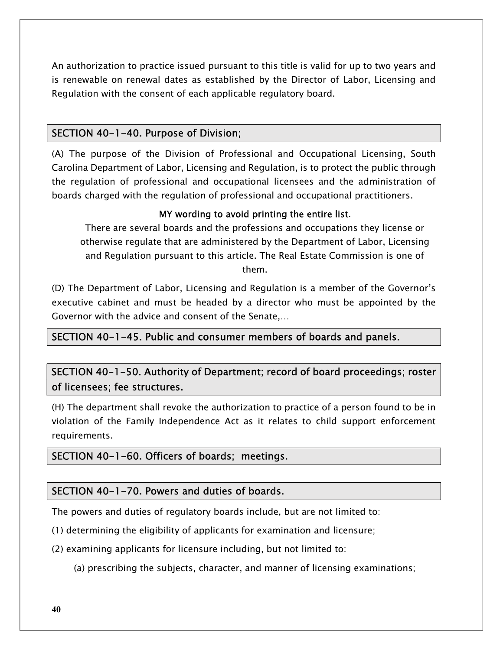An authorization to practice issued pursuant to this title is valid for up to two years and is renewable on renewal dates as established by the Director of Labor, Licensing and Regulation with the consent of each applicable regulatory board.

# SECTION 40-1-40. Purpose of Division;

(A) The purpose of the Division of Professional and Occupational Licensing, South Carolina Department of Labor, Licensing and Regulation, is to protect the public through the regulation of professional and occupational licensees and the administration of boards charged with the regulation of professional and occupational practitioners.

## MY wording to avoid printing the entire list.

There are several boards and the professions and occupations they license or otherwise regulate that are administered by the Department of Labor, Licensing and Regulation pursuant to this article. The Real Estate Commission is one of them.

(D) The Department of Labor, Licensing and Regulation is a member of the Governor's executive cabinet and must be headed by a director who must be appointed by the Governor with the advice and consent of the Senate,…

## SECTION 40-1-45. Public and consumer members of boards and panels.

SECTION 40-1-50. Authority of Department; record of board proceedings; roster of licensees; fee structures.

(H) The department shall revoke the authorization to practice of a person found to be in violation of the Family Independence Act as it relates to child support enforcement requirements.

# SECTION 40-1-60. Officers of boards; meetings.

## SECTION 40-1-70. Powers and duties of boards.

The powers and duties of regulatory boards include, but are not limited to:

(1) determining the eligibility of applicants for examination and licensure;

(2) examining applicants for licensure including, but not limited to:

(a) prescribing the subjects, character, and manner of licensing examinations;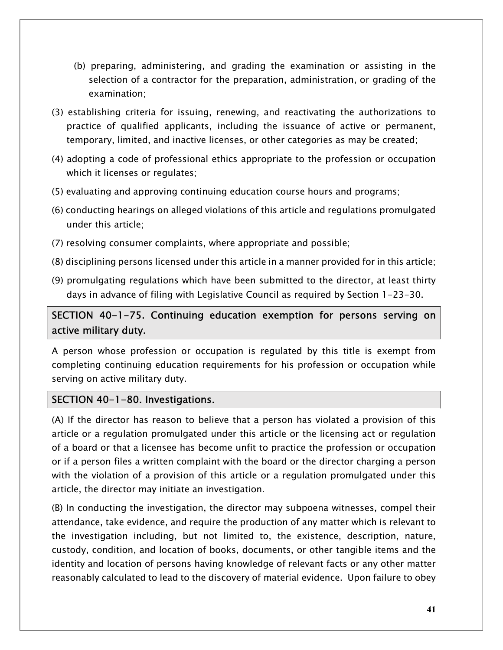- (b) preparing, administering, and grading the examination or assisting in the selection of a contractor for the preparation, administration, or grading of the examination;
- (3) establishing criteria for issuing, renewing, and reactivating the authorizations to practice of qualified applicants, including the issuance of active or permanent, temporary, limited, and inactive licenses, or other categories as may be created;
- (4) adopting a code of professional ethics appropriate to the profession or occupation which it licenses or regulates;
- (5) evaluating and approving continuing education course hours and programs;
- (6) conducting hearings on alleged violations of this article and regulations promulgated under this article;
- (7) resolving consumer complaints, where appropriate and possible;
- (8) disciplining persons licensed under this article in a manner provided for in this article;
- (9) promulgating regulations which have been submitted to the director, at least thirty days in advance of filing with Legislative Council as required by Section 1-23-30.

# SECTION 40-1-75. Continuing education exemption for persons serving on active military duty.

A person whose profession or occupation is regulated by this title is exempt from completing continuing education requirements for his profession or occupation while serving on active military duty.

# SECTION 40-1-80. Investigations.

(A) If the director has reason to believe that a person has violated a provision of this article or a regulation promulgated under this article or the licensing act or regulation of a board or that a licensee has become unfit to practice the profession or occupation or if a person files a written complaint with the board or the director charging a person with the violation of a provision of this article or a regulation promulgated under this article, the director may initiate an investigation.

(B) In conducting the investigation, the director may subpoena witnesses, compel their attendance, take evidence, and require the production of any matter which is relevant to the investigation including, but not limited to, the existence, description, nature, custody, condition, and location of books, documents, or other tangible items and the identity and location of persons having knowledge of relevant facts or any other matter reasonably calculated to lead to the discovery of material evidence. Upon failure to obey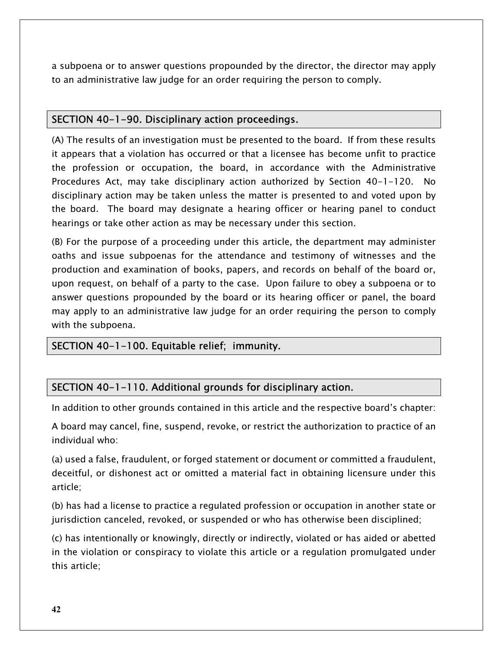a subpoena or to answer questions propounded by the director, the director may apply to an administrative law judge for an order requiring the person to comply.

# SECTION 40-1-90. Disciplinary action proceedings.

(A) The results of an investigation must be presented to the board. If from these results it appears that a violation has occurred or that a licensee has become unfit to practice the profession or occupation, the board, in accordance with the Administrative Procedures Act, may take disciplinary action authorized by Section 40-1-120. No disciplinary action may be taken unless the matter is presented to and voted upon by the board. The board may designate a hearing officer or hearing panel to conduct hearings or take other action as may be necessary under this section.

(B) For the purpose of a proceeding under this article, the department may administer oaths and issue subpoenas for the attendance and testimony of witnesses and the production and examination of books, papers, and records on behalf of the board or, upon request, on behalf of a party to the case. Upon failure to obey a subpoena or to answer questions propounded by the board or its hearing officer or panel, the board may apply to an administrative law judge for an order requiring the person to comply with the subpoena.

# SECTION 40-1-100. Equitable relief; immunity.

# SECTION 40-1-110. Additional grounds for disciplinary action.

In addition to other grounds contained in this article and the respective board's chapter:

A board may cancel, fine, suspend, revoke, or restrict the authorization to practice of an individual who:

(a) used a false, fraudulent, or forged statement or document or committed a fraudulent, deceitful, or dishonest act or omitted a material fact in obtaining licensure under this article;

(b) has had a license to practice a regulated profession or occupation in another state or jurisdiction canceled, revoked, or suspended or who has otherwise been disciplined;

(c) has intentionally or knowingly, directly or indirectly, violated or has aided or abetted in the violation or conspiracy to violate this article or a regulation promulgated under this article;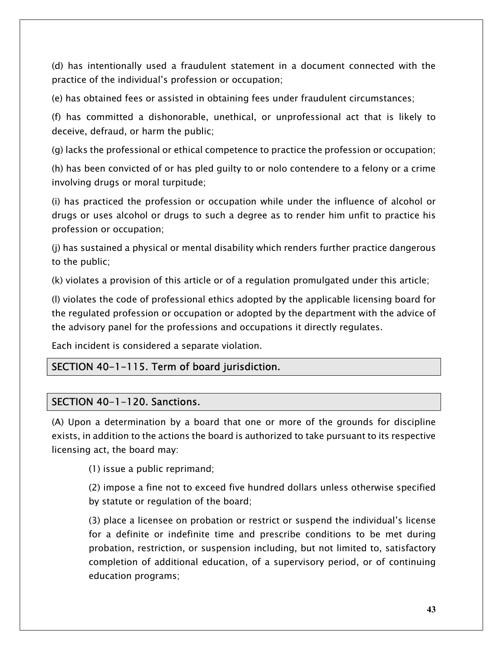(d) has intentionally used a fraudulent statement in a document connected with the practice of the individual's profession or occupation;

(e) has obtained fees or assisted in obtaining fees under fraudulent circumstances;

(f) has committed a dishonorable, unethical, or unprofessional act that is likely to deceive, defraud, or harm the public;

(g) lacks the professional or ethical competence to practice the profession or occupation;

(h) has been convicted of or has pled guilty to or nolo contendere to a felony or a crime involving drugs or moral turpitude;

(i) has practiced the profession or occupation while under the influence of alcohol or drugs or uses alcohol or drugs to such a degree as to render him unfit to practice his profession or occupation;

(j) has sustained a physical or mental disability which renders further practice dangerous to the public;

(k) violates a provision of this article or of a regulation promulgated under this article;

(l) violates the code of professional ethics adopted by the applicable licensing board for the regulated profession or occupation or adopted by the department with the advice of the advisory panel for the professions and occupations it directly regulates.

Each incident is considered a separate violation.

# SECTION 40-1-115. Term of board jurisdiction.

## SECTION 40-1-120. Sanctions.

(A) Upon a determination by a board that one or more of the grounds for discipline exists, in addition to the actions the board is authorized to take pursuant to its respective licensing act, the board may:

(1) issue a public reprimand;

(2) impose a fine not to exceed five hundred dollars unless otherwise specified by statute or regulation of the board;

(3) place a licensee on probation or restrict or suspend the individual's license for a definite or indefinite time and prescribe conditions to be met during probation, restriction, or suspension including, but not limited to, satisfactory completion of additional education, of a supervisory period, or of continuing education programs;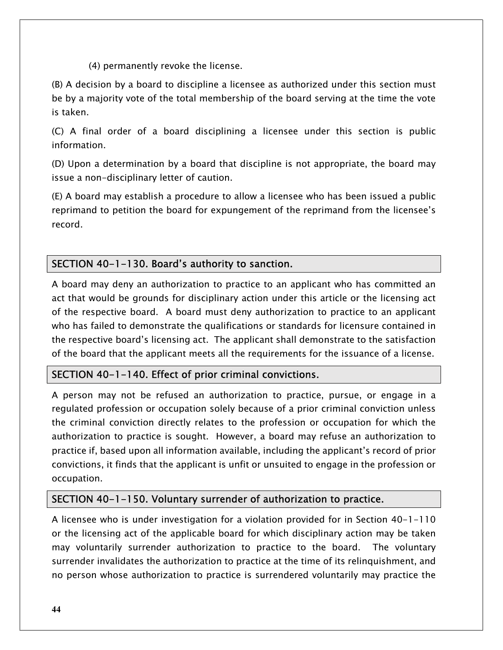(4) permanently revoke the license.

(B) A decision by a board to discipline a licensee as authorized under this section must be by a majority vote of the total membership of the board serving at the time the vote is taken.

(C) A final order of a board disciplining a licensee under this section is public information.

(D) Upon a determination by a board that discipline is not appropriate, the board may issue a non-disciplinary letter of caution.

(E) A board may establish a procedure to allow a licensee who has been issued a public reprimand to petition the board for expungement of the reprimand from the licensee's record.

# SECTION 40-1-130. Board's authority to sanction.

A board may deny an authorization to practice to an applicant who has committed an act that would be grounds for disciplinary action under this article or the licensing act of the respective board. A board must deny authorization to practice to an applicant who has failed to demonstrate the qualifications or standards for licensure contained in the respective board's licensing act. The applicant shall demonstrate to the satisfaction of the board that the applicant meets all the requirements for the issuance of a license.

# SECTION 40-1-140. Effect of prior criminal convictions.

A person may not be refused an authorization to practice, pursue, or engage in a regulated profession or occupation solely because of a prior criminal conviction unless the criminal conviction directly relates to the profession or occupation for which the authorization to practice is sought. However, a board may refuse an authorization to practice if, based upon all information available, including the applicant's record of prior convictions, it finds that the applicant is unfit or unsuited to engage in the profession or occupation.

# SECTION 40-1-150. Voluntary surrender of authorization to practice.

A licensee who is under investigation for a violation provided for in Section 40-1-110 or the licensing act of the applicable board for which disciplinary action may be taken may voluntarily surrender authorization to practice to the board. The voluntary surrender invalidates the authorization to practice at the time of its relinquishment, and no person whose authorization to practice is surrendered voluntarily may practice the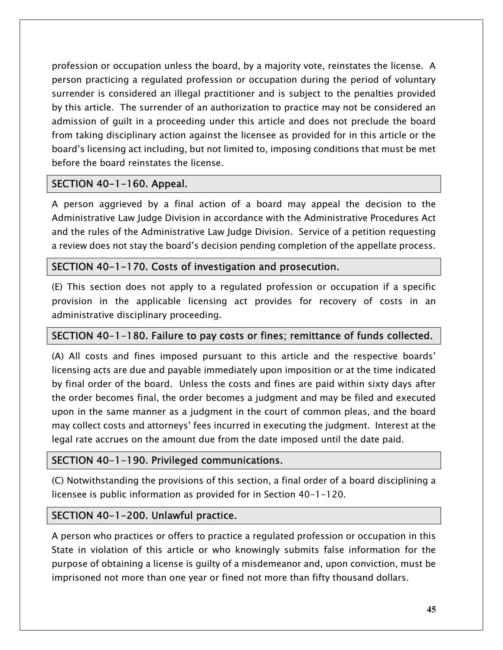profession or occupation unless the board, by a majority vote, reinstates the license. A person practicing a regulated profession or occupation during the period of voluntary surrender is considered an illegal practitioner and is subject to the penalties provided by this article. The surrender of an authorization to practice may not be considered an admission of guilt in a proceeding under this article and does not preclude the board from taking disciplinary action against the licensee as provided for in this article or the board's licensing act including, but not limited to, imposing conditions that must be met before the board reinstates the license.

# SECTION 40-1-160. Appeal.

A person aggrieved by a final action of a board may appeal the decision to the Administrative Law Judge Division in accordance with the Administrative Procedures Act and the rules of the Administrative Law Judge Division. Service of a petition requesting a review does not stay the board's decision pending completion of the appellate process.

# SECTION 40-1-170. Costs of investigation and prosecution.

(E) This section does not apply to a regulated profession or occupation if a specific provision in the applicable licensing act provides for recovery of costs in an administrative disciplinary proceeding.

# SECTION 40-1-180. Failure to pay costs or fines; remittance of funds collected.

(A) All costs and fines imposed pursuant to this article and the respective boards' licensing acts are due and payable immediately upon imposition or at the time indicated by final order of the board. Unless the costs and fines are paid within sixty days after the order becomes final, the order becomes a judgment and may be filed and executed upon in the same manner as a judgment in the court of common pleas, and the board may collect costs and attorneys' fees incurred in executing the judgment. Interest at the legal rate accrues on the amount due from the date imposed until the date paid.

# SECTION 40-1-190. Privileged communications.

(C) Notwithstanding the provisions of this section, a final order of a board disciplining a licensee is public information as provided for in Section 40-1-120.

# SECTION 40-1-200. Unlawful practice.

A person who practices or offers to practice a regulated profession or occupation in this State in violation of this article or who knowingly submits false information for the purpose of obtaining a license is guilty of a misdemeanor and, upon conviction, must be imprisoned not more than one year or fined not more than fifty thousand dollars.